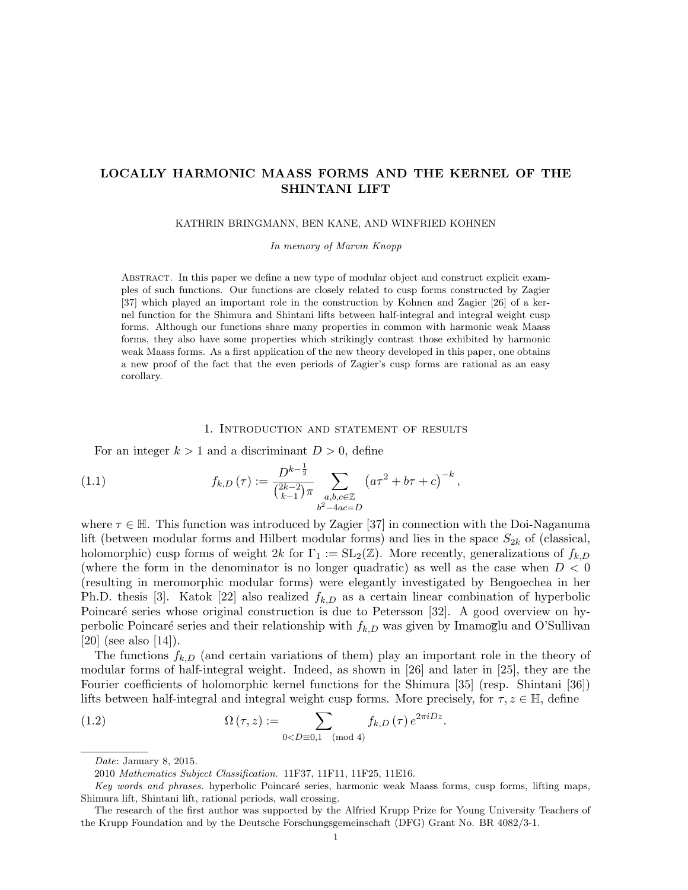# LOCALLY HARMONIC MAASS FORMS AND THE KERNEL OF THE SHINTANI LIFT

KATHRIN BRINGMANN, BEN KANE, AND WINFRIED KOHNEN

In memory of Marvin Knopp

Abstract. In this paper we define a new type of modular object and construct explicit examples of such functions. Our functions are closely related to cusp forms constructed by Zagier [37] which played an important role in the construction by Kohnen and Zagier [26] of a kernel function for the Shimura and Shintani lifts between half-integral and integral weight cusp forms. Although our functions share many properties in common with harmonic weak Maass forms, they also have some properties which strikingly contrast those exhibited by harmonic weak Maass forms. As a first application of the new theory developed in this paper, one obtains a new proof of the fact that the even periods of Zagier's cusp forms are rational as an easy corollary.

#### 1. Introduction and statement of results

For an integer  $k > 1$  and a discriminant  $D > 0$ , define

(1.1) 
$$
f_{k,D}(\tau) := \frac{D^{k-\frac{1}{2}}}{\binom{2k-2}{k-1}\pi} \sum_{\substack{a,b,c \in \mathbb{Z} \\ b^2 - 4ac = D}} \left(a\tau^2 + b\tau + c\right)^{-k},
$$

where  $\tau \in \mathbb{H}$ . This function was introduced by Zagier [37] in connection with the Doi-Naganuma lift (between modular forms and Hilbert modular forms) and lies in the space  $S_{2k}$  of (classical, holomorphic) cusp forms of weight 2k for  $\Gamma_1 := SL_2(\mathbb{Z})$ . More recently, generalizations of  $f_{k,D}$ (where the form in the denominator is no longer quadratic) as well as the case when  $D < 0$ (resulting in meromorphic modular forms) were elegantly investigated by Bengoechea in her Ph.D. thesis [3]. Katok [22] also realized  $f_{k,D}$  as a certain linear combination of hyperbolic Poincaré series whose original construction is due to Petersson [32]. A good overview on hyperbolic Poincaré series and their relationship with  $f_{k,D}$  was given by Imamoglu and O'Sullivan [20] (see also [14]).

The functions  $f_{k,D}$  (and certain variations of them) play an important role in the theory of modular forms of half-integral weight. Indeed, as shown in [26] and later in [25], they are the Fourier coefficients of holomorphic kernel functions for the Shimura [35] (resp. Shintani [36]) lifts between half-integral and integral weight cusp forms. More precisely, for  $\tau, z \in \mathbb{H}$ , define

(1.2) 
$$
\Omega\left(\tau,z\right) := \sum_{0
$$

Date: January 8, 2015.

<sup>2010</sup> Mathematics Subject Classification. 11F37, 11F11, 11F25, 11E16.

Key words and phrases. hyperbolic Poincaré series, harmonic weak Maass forms, cusp forms, lifting maps, Shimura lift, Shintani lift, rational periods, wall crossing.

The research of the first author was supported by the Alfried Krupp Prize for Young University Teachers of the Krupp Foundation and by the Deutsche Forschungsgemeinschaft (DFG) Grant No. BR 4082/3-1.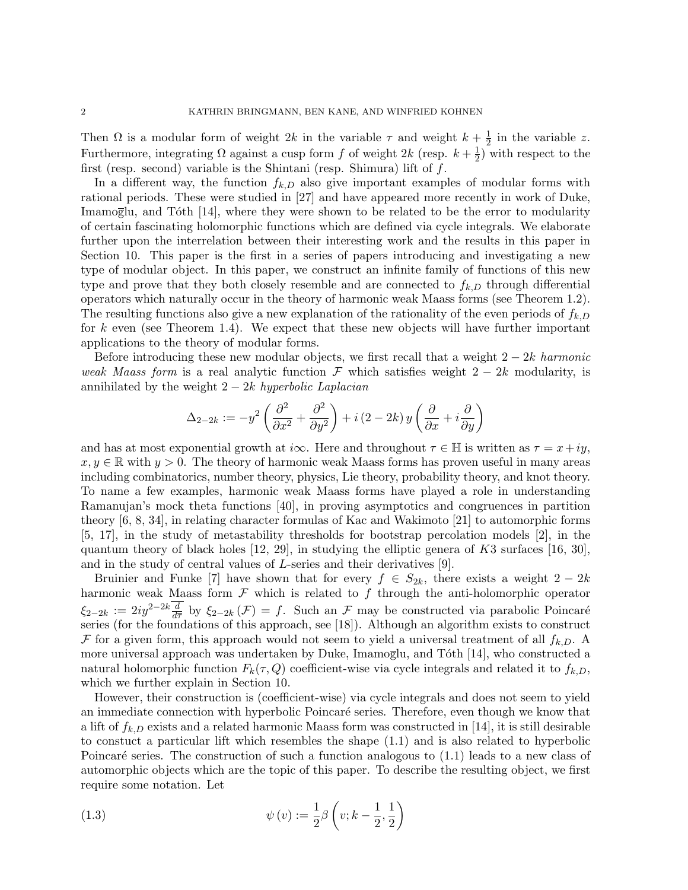Then  $\Omega$  is a modular form of weight  $2k$  in the variable  $\tau$  and weight  $k+\frac{1}{2}$  $\frac{1}{2}$  in the variable z. Furthermore, integrating  $\Omega$  against a cusp form f of weight 2k (resp.  $k + \frac{1}{2}$ )  $(\frac{1}{2})$  with respect to the first (resp. second) variable is the Shintani (resp. Shimura) lift of  $f$ .

In a different way, the function  $f_{k,D}$  also give important examples of modular forms with rational periods. These were studied in [27] and have appeared more recently in work of Duke, Imamoglu, and Tôth  $[14]$ , where they were shown to be related to be the error to modularity of certain fascinating holomorphic functions which are defined via cycle integrals. We elaborate further upon the interrelation between their interesting work and the results in this paper in Section 10. This paper is the first in a series of papers introducing and investigating a new type of modular object. In this paper, we construct an infinite family of functions of this new type and prove that they both closely resemble and are connected to  $f_{k,D}$  through differential operators which naturally occur in the theory of harmonic weak Maass forms (see Theorem 1.2). The resulting functions also give a new explanation of the rationality of the even periods of  $f_{k,D}$ for k even (see Theorem 1.4). We expect that these new objects will have further important applications to the theory of modular forms.

Before introducing these new modular objects, we first recall that a weight  $2 - 2k$  harmonic weak Maass form is a real analytic function F which satisfies weight  $2 - 2k$  modularity, is annihilated by the weight  $2 - 2k$  hyperbolic Laplacian

$$
\Delta_{2-2k} := -y^2\left(\frac{\partial^2}{\partial x^2} + \frac{\partial^2}{\partial y^2}\right) + i\left(2 - 2k\right)y\left(\frac{\partial}{\partial x} + i\frac{\partial}{\partial y}\right)
$$

and has at most exponential growth at i $\infty$ . Here and throughout  $\tau \in \mathbb{H}$  is written as  $\tau = x + iy$ ,  $x, y \in \mathbb{R}$  with  $y > 0$ . The theory of harmonic weak Maass forms has proven useful in many areas including combinatorics, number theory, physics, Lie theory, probability theory, and knot theory. To name a few examples, harmonic weak Maass forms have played a role in understanding Ramanujan's mock theta functions [40], in proving asymptotics and congruences in partition theory [6, 8, 34], in relating character formulas of Kac and Wakimoto [21] to automorphic forms [5, 17], in the study of metastability thresholds for bootstrap percolation models [2], in the quantum theory of black holes [12, 29], in studying the elliptic genera of K3 surfaces [16, 30], and in the study of central values of L-series and their derivatives [9].

Bruinier and Funke [7] have shown that for every  $f \in S_{2k}$ , there exists a weight  $2 - 2k$ harmonic weak Maass form  $\mathcal F$  which is related to  $f$  through the anti-holomorphic operator  $\xi_{2-2k} := 2iy^{2-2k}\frac{d}{d\overline{\tau}}$  by  $\xi_{2-2k}(\mathcal{F}) = f$ . Such an  $\mathcal{F}$  may be constructed via parabolic Poincaré series (for the foundations of this approach, see [18]). Although an algorithm exists to construct F for a given form, this approach would not seem to yield a universal treatment of all  $f_{k,D}$ . A more universal approach was undertaken by Duke, Imamoglu, and  $Tóth [14]$ , who constructed a natural holomorphic function  $F_k(\tau, Q)$  coefficient-wise via cycle integrals and related it to  $f_{k,D}$ , which we further explain in Section 10.

However, their construction is (coefficient-wise) via cycle integrals and does not seem to yield an immediate connection with hyperbolic Poincaré series. Therefore, even though we know that a lift of  $f_{k,D}$  exists and a related harmonic Maass form was constructed in [14], it is still desirable to constuct a particular lift which resembles the shape (1.1) and is also related to hyperbolic Poincaré series. The construction of such a function analogous to  $(1.1)$  leads to a new class of automorphic objects which are the topic of this paper. To describe the resulting object, we first require some notation. Let

(1.3) 
$$
\psi(v) := \frac{1}{2}\beta\left(v; k - \frac{1}{2}, \frac{1}{2}\right)
$$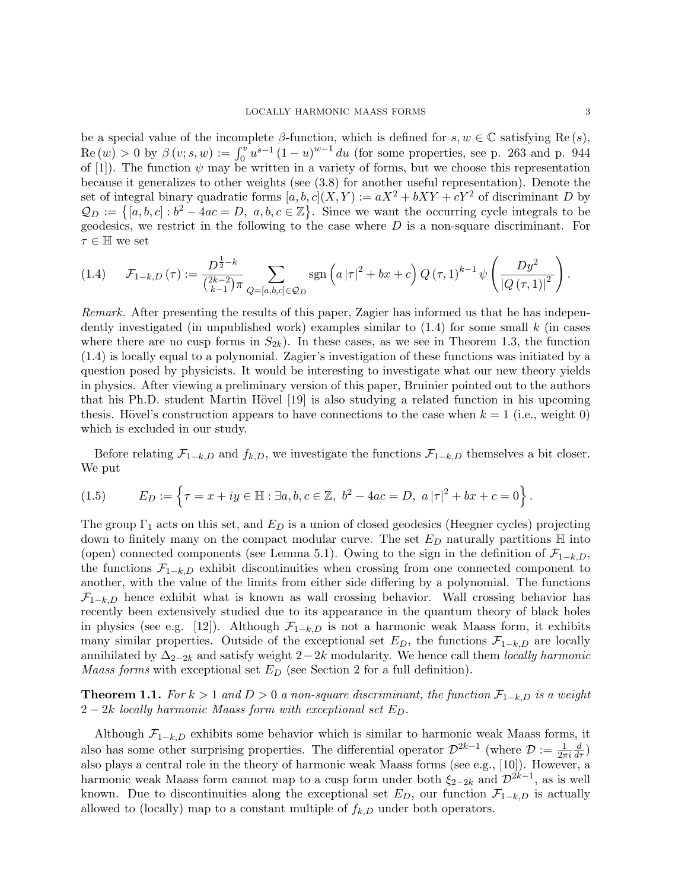be a special value of the incomplete  $\beta$ -function, which is defined for  $s, w \in \mathbb{C}$  satisfying Re(s),  $\text{Re}(w) > 0$  by  $\beta(v; s, w) := \int_0^v u^{s-1} (1-u)^{w-1} du$  (for some properties, see p. 263 and p. 944) of [1]). The function  $\psi$  may be written in a variety of forms, but we choose this representation because it generalizes to other weights (see (3.8) for another useful representation). Denote the set of integral binary quadratic forms  $[a, b, c](X, Y) := aX^2 + bXY + cY^2$  of discriminant D by  $\mathcal{Q}_D := \{ [a, b, c] : b^2 - 4ac = D, a, b, c \in \mathbb{Z} \}.$  Since we want the occurring cycle integrals to be geodesics, we restrict in the following to the case where  $D$  is a non-square discriminant. For  $\tau \in \mathbb{H}$  we set

$$
(1.4) \qquad \mathcal{F}_{1-k,D}(\tau) := \frac{D^{\frac{1}{2}-k}}{\binom{2k-2}{k-1}\pi} \sum_{Q=[a,b,c]\in\mathcal{Q}_D} \text{sgn}\left(a\,|\tau|^2 + bx + c\right) Q\left(\tau,1\right)^{k-1} \psi\left(\frac{Dy^2}{|Q\left(\tau,1\right)|^2}\right).
$$

Remark. After presenting the results of this paper, Zagier has informed us that he has independently investigated (in unpublished work) examples similar to  $(1.4)$  for some small k (in cases where there are no cusp forms in  $S_{2k}$ ). In these cases, as we see in Theorem 1.3, the function (1.4) is locally equal to a polynomial. Zagier's investigation of these functions was initiated by a question posed by physicists. It would be interesting to investigate what our new theory yields in physics. After viewing a preliminary version of this paper, Bruinier pointed out to the authors that his Ph.D. student Martin Hövel [19] is also studying a related function in his upcoming thesis. Hövel's construction appears to have connections to the case when  $k = 1$  (i.e., weight 0) which is excluded in our study.

Before relating  $\mathcal{F}_{1-k,D}$  and  $f_{k,D}$ , we investigate the functions  $\mathcal{F}_{1-k,D}$  themselves a bit closer. We put

(1.5) 
$$
E_D := \left\{ \tau = x + iy \in \mathbb{H} : \exists a, b, c \in \mathbb{Z}, \ b^2 - 4ac = D, \ a|\tau|^2 + bx + c = 0 \right\}.
$$

The group  $\Gamma_1$  acts on this set, and  $E_D$  is a union of closed geodesics (Heegner cycles) projecting down to finitely many on the compact modular curve. The set  $E_D$  naturally partitions  $\mathbb H$  into (open) connected components (see Lemma 5.1). Owing to the sign in the definition of  $\mathcal{F}_{1-k,D}$ , the functions  $\mathcal{F}_{1-k,D}$  exhibit discontinuities when crossing from one connected component to another, with the value of the limits from either side differing by a polynomial. The functions  $\mathcal{F}_{1-k,D}$  hence exhibit what is known as wall crossing behavior. Wall crossing behavior has recently been extensively studied due to its appearance in the quantum theory of black holes in physics (see e.g. [12]). Although  $\mathcal{F}_{1-k,D}$  is not a harmonic weak Maass form, it exhibits many similar properties. Outside of the exceptional set  $E_D$ , the functions  $\mathcal{F}_{1-k,D}$  are locally annihilated by  $\Delta_{2-2k}$  and satisfy weight  $2-2k$  modularity. We hence call them locally harmonic *Maass forms* with exceptional set  $E_D$  (see Section 2 for a full definition).

**Theorem 1.1.** For  $k > 1$  and  $D > 0$  a non-square discriminant, the function  $\mathcal{F}_{1-k,D}$  is a weight  $2-2k$  locally harmonic Maass form with exceptional set  $E_D$ .

Although  $\mathcal{F}_{1-k,D}$  exhibits some behavior which is similar to harmonic weak Maass forms, it also has some other surprising properties. The differential operator  $\mathcal{D}^{2k-1}$  (where  $\mathcal{D} := \frac{1}{2\pi i}$  $\frac{d}{d\tau})$ also plays a central role in the theory of harmonic weak Maass forms (see e.g., [10]). However, a harmonic weak Maass form cannot map to a cusp form under both  $\xi_{2-2k}$  and  $\mathcal{D}^{2k-1}$ , as is well known. Due to discontinuities along the exceptional set  $E_D$ , our function  $\mathcal{F}_{1-k,D}$  is actually allowed to (locally) map to a constant multiple of  $f_{k,D}$  under both operators.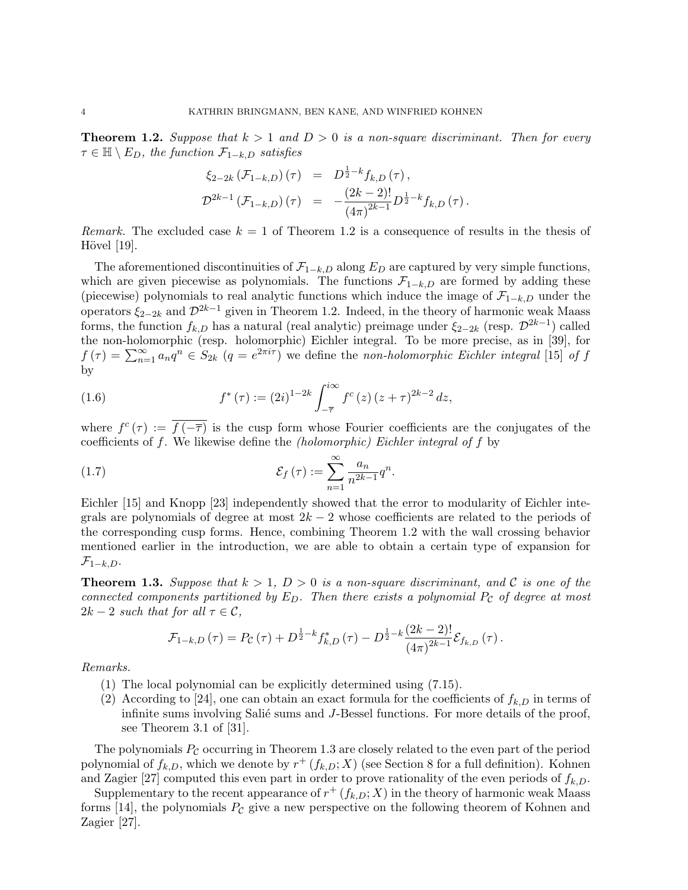**Theorem 1.2.** Suppose that  $k > 1$  and  $D > 0$  is a non-square discriminant. Then for every  $\tau \in \mathbb{H} \setminus E_D$ , the function  $\mathcal{F}_{1-k,D}$  satisfies

$$
\begin{array}{rcl} \xi_{2-2k} \left( \mathcal{F}_{1-k,D} \right)(\tau) & = & D^{\frac{1}{2}-k} f_{k,D} \left( \tau \right), \\ \mathcal{D}^{2k-1} \left( \mathcal{F}_{1-k,D} \right)(\tau) & = & - \frac{(2k-2)!}{(4\pi)^{2k-1}} D^{\frac{1}{2}-k} f_{k,D} \left( \tau \right). \end{array}
$$

Remark. The excluded case  $k = 1$  of Theorem 1.2 is a consequence of results in the thesis of Hövel  $[19]$ .

The aforementioned discontinuities of  $\mathcal{F}_{1-k,D}$  along  $E_D$  are captured by very simple functions, which are given piecewise as polynomials. The functions  $\mathcal{F}_{1-k,D}$  are formed by adding these (piecewise) polynomials to real analytic functions which induce the image of  $\mathcal{F}_{1-k,D}$  under the operators  $\xi_{2-2k}$  and  $\mathcal{D}^{2k-1}$  given in Theorem 1.2. Indeed, in the theory of harmonic weak Maass forms, the function  $f_{k,D}$  has a natural (real analytic) preimage under  $\xi_{2-2k}$  (resp.  $\mathcal{D}^{2k-1}$ ) called the non-holomorphic (resp. holomorphic) Eichler integral. To be more precise, as in [39], for  $f(\tau) = \sum_{n=1}^{\infty} a_n q^n \in S_{2k}$   $(q = e^{2\pi i \tau})$  we define the non-holomorphic Eichler integral [15] of f by

(1.6) 
$$
f^*(\tau) := (2i)^{1-2k} \int_{-\overline{\tau}}^{i\infty} f^c(z) (z+\tau)^{2k-2} dz,
$$

where  $f^c(\tau) := \overline{f(-\overline{\tau})}$  is the cusp form whose Fourier coefficients are the conjugates of the coefficients of f. We likewise define the (holomorphic) Eichler integral of f by

(1.7) 
$$
\mathcal{E}_f(\tau) := \sum_{n=1}^{\infty} \frac{a_n}{n^{2k-1}} q^n.
$$

Eichler [15] and Knopp [23] independently showed that the error to modularity of Eichler integrals are polynomials of degree at most  $2k - 2$  whose coefficients are related to the periods of the corresponding cusp forms. Hence, combining Theorem 1.2 with the wall crossing behavior mentioned earlier in the introduction, we are able to obtain a certain type of expansion for  $\mathcal{F}_{1-k,D}$ .

**Theorem 1.3.** Suppose that  $k > 1$ ,  $D > 0$  is a non-square discriminant, and C is one of the connected components partitioned by  $E_D$ . Then there exists a polynomial  $P_C$  of degree at most  $2k-2$  such that for all  $\tau \in \mathcal{C}$ ,

$$
\mathcal{F}_{1-k,D}(\tau) = P_{\mathcal{C}}(\tau) + D^{\frac{1}{2}-k} f_{k,D}^*(\tau) - D^{\frac{1}{2}-k} \frac{(2k-2)!}{(4\pi)^{2k-1}} \mathcal{E}_{f_{k,D}}(\tau).
$$

Remarks.

- (1) The local polynomial can be explicitly determined using (7.15).
- (2) According to [24], one can obtain an exact formula for the coefficients of  $f_{k,D}$  in terms of infinite sums involving Salié sums and J-Bessel functions. For more details of the proof, see Theorem 3.1 of [31].

The polynomials  $P_{\mathcal{C}}$  occurring in Theorem 1.3 are closely related to the even part of the period polynomial of  $f_{k,D}$ , which we denote by  $r^+(f_{k,D};X)$  (see Section 8 for a full definition). Kohnen and Zagier [27] computed this even part in order to prove rationality of the even periods of  $f_{k,D}$ .

Supplementary to the recent appearance of  $r^+(f_{k,D};X)$  in the theory of harmonic weak Maass forms [14], the polynomials  $P_{\mathcal{C}}$  give a new perspective on the following theorem of Kohnen and Zagier [27].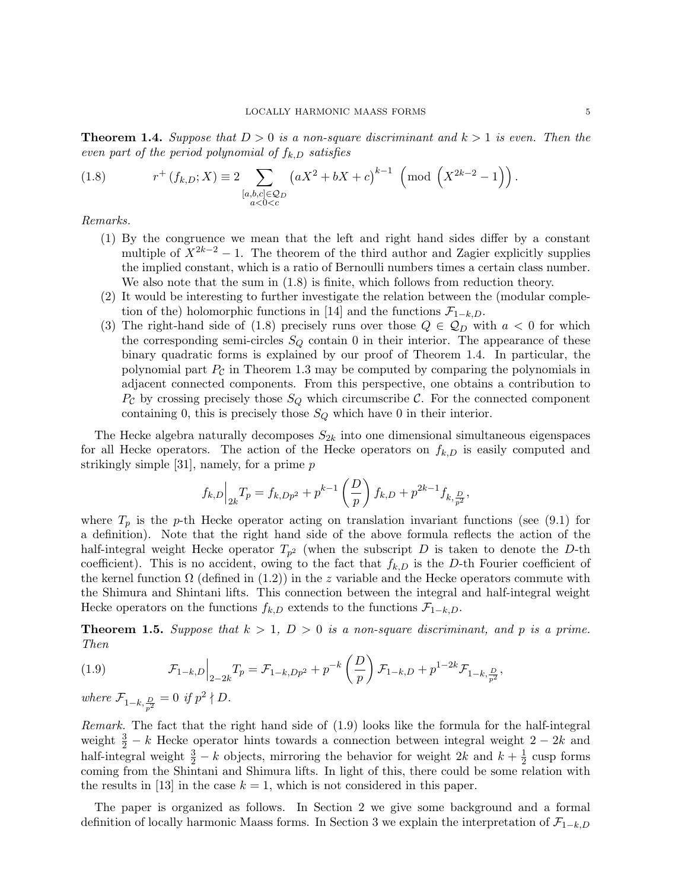**Theorem 1.4.** Suppose that  $D > 0$  is a non-square discriminant and  $k > 1$  is even. Then the even part of the period polynomial of  $f_{k,D}$  satisfies

(1.8) 
$$
r^+(f_{k,D}; X) \equiv 2 \sum_{\substack{[a,b,c] \in \mathcal{Q}_D \\ a < 0 < c}} \left( aX^2 + bX + c \right)^{k-1} \left( \text{mod} \left( X^{2k-2} - 1 \right) \right).
$$

Remarks.

- (1) By the congruence we mean that the left and right hand sides differ by a constant multiple of  $X^{2k-2} - 1$ . The theorem of the third author and Zagier explicitly supplies the implied constant, which is a ratio of Bernoulli numbers times a certain class number. We also note that the sum in  $(1.8)$  is finite, which follows from reduction theory.
- (2) It would be interesting to further investigate the relation between the (modular completion of the) holomorphic functions in [14] and the functions  $\mathcal{F}_{1-k,D}$ .
- (3) The right-hand side of (1.8) precisely runs over those  $Q \in \mathcal{Q}_D$  with  $a < 0$  for which the corresponding semi-circles  $S_Q$  contain 0 in their interior. The appearance of these binary quadratic forms is explained by our proof of Theorem 1.4. In particular, the polynomial part  $P_c$  in Theorem 1.3 may be computed by comparing the polynomials in adjacent connected components. From this perspective, one obtains a contribution to  $P_{\mathcal{C}}$  by crossing precisely those  $S_Q$  which circumscribe  $\mathcal{C}$ . For the connected component containing 0, this is precisely those  $S_Q$  which have 0 in their interior.

The Hecke algebra naturally decomposes  $S_{2k}$  into one dimensional simultaneous eigenspaces for all Hecke operators. The action of the Hecke operators on  $f_{k,D}$  is easily computed and strikingly simple [31], namely, for a prime  $p$ 

$$
f_{k,D}\Big|_{2k}T_p = f_{k,Dp^2} + p^{k-1}\left(\frac{D}{p}\right)f_{k,D} + p^{2k-1}f_{k,\frac{D}{p^2}},
$$

where  $T_p$  is the p-th Hecke operator acting on translation invariant functions (see (9.1) for a definition). Note that the right hand side of the above formula reflects the action of the half-integral weight Hecke operator  $T_{p^2}$  (when the subscript D is taken to denote the D-th coefficient). This is no accident, owing to the fact that  $f_{k,D}$  is the D-th Fourier coefficient of the kernel function  $\Omega$  (defined in (1.2)) in the z variable and the Hecke operators commute with the Shimura and Shintani lifts. This connection between the integral and half-integral weight Hecke operators on the functions  $f_{k,D}$  extends to the functions  $\mathcal{F}_{1-k,D}$ .

**Theorem 1.5.** Suppose that  $k > 1$ ,  $D > 0$  is a non-square discriminant, and p is a prime. Then

(1.9) 
$$
\mathcal{F}_{1-k,D}\Big|_{2-2k}T_p = \mathcal{F}_{1-k,Dp^2} + p^{-k}\left(\frac{D}{p}\right)\mathcal{F}_{1-k,D} + p^{1-2k}\mathcal{F}_{1-k,\frac{D}{p^2}},
$$

where  $\mathcal{F}_{1-k, \frac{D}{p^2}} = 0$  if  $p^2 \nmid D$ .

Remark. The fact that the right hand side of  $(1.9)$  looks like the formula for the half-integral weight  $\frac{3}{2} - k$  Hecke operator hints towards a connection between integral weight 2 – 2k and half-integral weight  $\frac{3}{2} - k$  objects, mirroring the behavior for weight 2k and  $k + \frac{1}{2}$  $\frac{1}{2}$  cusp forms coming from the Shintani and Shimura lifts. In light of this, there could be some relation with the results in [13] in the case  $k = 1$ , which is not considered in this paper.

The paper is organized as follows. In Section 2 we give some background and a formal definition of locally harmonic Maass forms. In Section 3 we explain the interpretation of  $\mathcal{F}_{1-k,D}$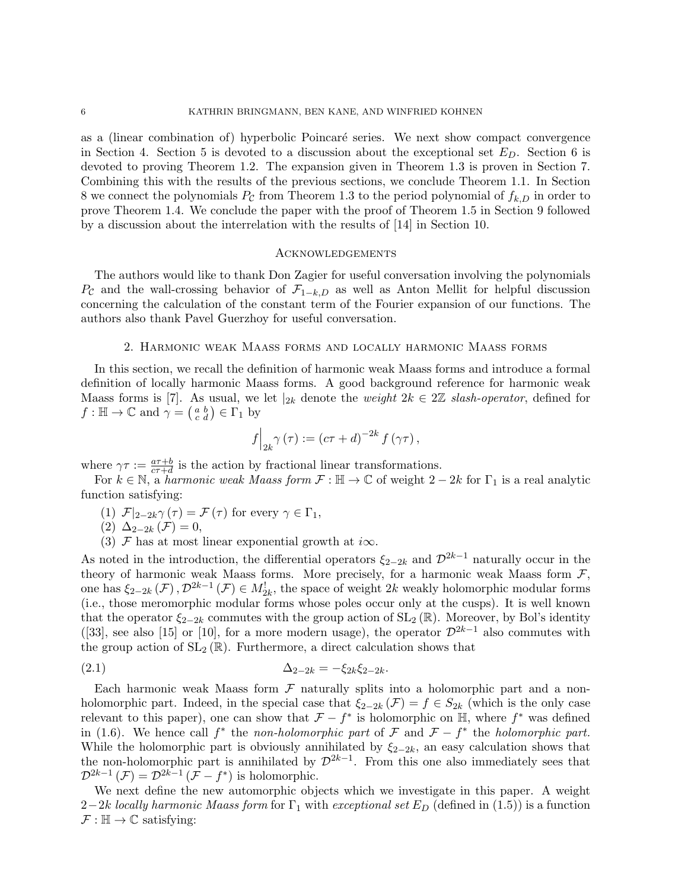as a (linear combination of) hyperbolic Poincaré series. We next show compact convergence in Section 4. Section 5 is devoted to a discussion about the exceptional set  $E_D$ . Section 6 is devoted to proving Theorem 1.2. The expansion given in Theorem 1.3 is proven in Section 7. Combining this with the results of the previous sections, we conclude Theorem 1.1. In Section 8 we connect the polynomials  $P_c$  from Theorem 1.3 to the period polynomial of  $f_{k,D}$  in order to prove Theorem 1.4. We conclude the paper with the proof of Theorem 1.5 in Section 9 followed by a discussion about the interrelation with the results of [14] in Section 10.

## **ACKNOWLEDGEMENTS**

The authors would like to thank Don Zagier for useful conversation involving the polynomials  $P_{\mathcal{C}}$  and the wall-crossing behavior of  $\mathcal{F}_{1-k,D}$  as well as Anton Mellit for helpful discussion concerning the calculation of the constant term of the Fourier expansion of our functions. The authors also thank Pavel Guerzhoy for useful conversation.

## 2. Harmonic weak Maass forms and locally harmonic Maass forms

In this section, we recall the definition of harmonic weak Maass forms and introduce a formal definition of locally harmonic Maass forms. A good background reference for harmonic weak Maass forms is [7]. As usual, we let  $|_{2k}$  denote the *weight*  $2k \in 2\mathbb{Z}$  slash-operator, defined for  $f: \mathbb{H} \to \mathbb{C}$  and  $\gamma = \begin{pmatrix} a & b \\ c & d \end{pmatrix} \in \Gamma_1$  by

$$
f\Big|_{2k}\gamma(\tau) := (c\tau + d)^{-2k} f(\gamma\tau),
$$

where  $\gamma \tau := \frac{a\tau+b}{c\tau+d}$  is the action by fractional linear transformations.

For  $k \in \mathbb{N}$ , a *harmonic weak Maass form*  $\mathcal{F} : \mathbb{H} \to \mathbb{C}$  of weight  $2 - 2k$  for  $\Gamma_1$  is a real analytic function satisfying:

(1)  $\mathcal{F}|_{2-2k}\gamma(\tau) = \mathcal{F}(\tau)$  for every  $\gamma \in \Gamma_1$ ,

$$
(2) \ \Delta_{2-2k}(\mathcal{F})=0,
$$

(3)  $\mathcal F$  has at most linear exponential growth at  $i\infty$ .

As noted in the introduction, the differential operators  $\xi_{2-2k}$  and  $\mathcal{D}^{2k-1}$  naturally occur in the theory of harmonic weak Maass forms. More precisely, for a harmonic weak Maass form  $\mathcal{F}$ , one has  $\xi_{2-2k}(\mathcal{F}), \mathcal{D}^{2k-1}(\mathcal{F}) \in M_{2k}^!$ , the space of weight 2k weakly holomorphic modular forms (i.e., those meromorphic modular forms whose poles occur only at the cusps). It is well known that the operator  $\xi_{2-2k}$  commutes with the group action of  $SL_2(\mathbb{R})$ . Moreover, by Bol's identity ([33], see also [15] or [10], for a more modern usage), the operator  $\mathcal{D}^{2k-1}$  also commutes with the group action of  $SL_2(\mathbb{R})$ . Furthermore, a direct calculation shows that

(2.1) 
$$
\Delta_{2-2k} = -\xi_{2k}\xi_{2-2k}.
$$

Each harmonic weak Maass form  $\mathcal F$  naturally splits into a holomorphic part and a nonholomorphic part. Indeed, in the special case that  $\xi_{2-2k}(\mathcal{F}) = f \in S_{2k}$  (which is the only case relevant to this paper), one can show that  $\mathcal{F} - f^*$  is holomorphic on  $\mathbb{H}$ , where  $f^*$  was defined in (1.6). We hence call  $f^*$  the non-holomorphic part of  $\mathcal F$  and  $\mathcal F - f^*$  the holomorphic part. While the holomorphic part is obviously annihilated by  $\xi_{2-2k}$ , an easy calculation shows that the non-holomorphic part is annihilated by  $\mathcal{D}^{2k-1}$ . From this one also immediately sees that  $\mathcal{D}^{2k-1}(\mathcal{F}) = \mathcal{D}^{2k-1}(\mathcal{F} - f^*)$  is holomorphic.

We next define the new automorphic objects which we investigate in this paper. A weight 2−2k locally harmonic Maass form for  $\Gamma_1$  with exceptional set  $E_D$  (defined in (1.5)) is a function  $\mathcal{F}: \mathbb{H} \to \mathbb{C}$  satisfying: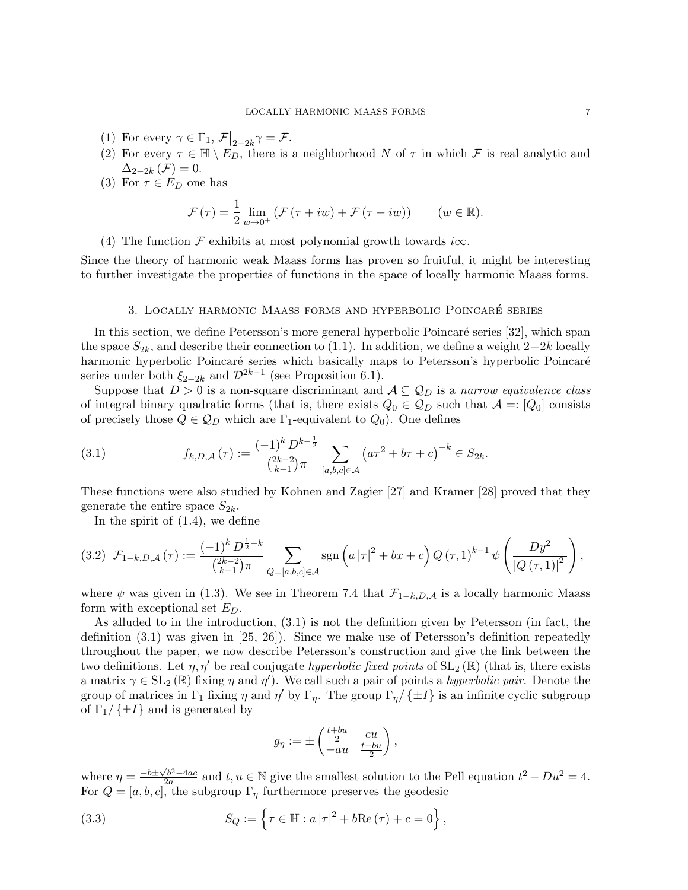- (1) For every  $\gamma \in \Gamma_1$ ,  $\mathcal{F}|_{2-2k} \gamma = \mathcal{F}.$
- (2) For every  $\tau \in \mathbb{H} \setminus E_D$ , there is a neighborhood N of  $\tau$  in which F is real analytic and  $\Delta_{2-2k}(\mathcal{F})=0.$
- (3) For  $\tau \in E_D$  one has

$$
\mathcal{F}(\tau) = \frac{1}{2} \lim_{w \to 0^+} \left( \mathcal{F}(\tau + iw) + \mathcal{F}(\tau - iw) \right) \qquad (w \in \mathbb{R}).
$$

(4) The function  $\mathcal F$  exhibits at most polynomial growth towards i $\infty$ .

Since the theory of harmonic weak Maass forms has proven so fruitful, it might be interesting to further investigate the properties of functions in the space of locally harmonic Maass forms.

#### 3. Locally harmonic Maass forms and hyperbolic Poincare series ´

In this section, we define Petersson's more general hyperbolic Poincaré series [32], which span the space  $S_{2k}$ , and describe their connection to (1.1). In addition, we define a weight  $2-2k$  locally harmonic hyperbolic Poincaré series which basically maps to Petersson's hyperbolic Poincaré series under both  $\xi_{2-2k}$  and  $\mathcal{D}^{2k-1}$  (see Proposition 6.1).

Suppose that  $D > 0$  is a non-square discriminant and  $\mathcal{A} \subseteq \mathcal{Q}_D$  is a narrow equivalence class of integral binary quadratic forms (that is, there exists  $Q_0 \in \mathcal{Q}_D$  such that  $\mathcal{A} =: [Q_0]$  consists of precisely those  $Q \in \mathcal{Q}_D$  which are  $\Gamma_1$ -equivalent to  $Q_0$ ). One defines

(3.1) 
$$
f_{k,D,A}(\tau) := \frac{(-1)^k D^{k-\frac{1}{2}}}{\binom{2k-2}{k-1}\pi} \sum_{[a,b,c]\in\mathcal{A}} \left(a\tau^2 + b\tau + c\right)^{-k} \in S_{2k}.
$$

These functions were also studied by Kohnen and Zagier [27] and Kramer [28] proved that they generate the entire space  $S_{2k}$ .

In the spirit of (1.4), we define

$$
(3.2) \ \mathcal{F}_{1-k,D,\mathcal{A}}(\tau) := \frac{(-1)^k D^{\frac{1}{2}-k}}{\binom{2k-2}{k-1}\pi} \sum_{Q=[a,b,c]\in\mathcal{A}} \text{sgn}\left(a\left|\tau\right|^2 + bx + c\right) Q\left(\tau,1\right)^{k-1} \psi\left(\frac{Dy^2}{\left|Q\left(\tau,1\right)\right|^2}\right),
$$

where  $\psi$  was given in (1.3). We see in Theorem 7.4 that  $\mathcal{F}_{1-k,D,A}$  is a locally harmonic Maass form with exceptional set  $E_D$ .

As alluded to in the introduction, (3.1) is not the definition given by Petersson (in fact, the definition (3.1) was given in [25, 26]). Since we make use of Petersson's definition repeatedly throughout the paper, we now describe Petersson's construction and give the link between the two definitions. Let  $\eta$ ,  $\eta'$  be real conjugate hyperbolic fixed points of  $SL_2(\mathbb{R})$  (that is, there exists a matrix  $\gamma \in SL_2(\mathbb{R})$  fixing  $\eta$  and  $\eta'$ ). We call such a pair of points a *hyperbolic pair*. Denote the group of matrices in  $\Gamma_1$  fixing  $\eta$  and  $\eta'$  by  $\Gamma_{\eta}$ . The group  $\Gamma_{\eta}/\{\pm I\}$  is an infinite cyclic subgroup of  $\Gamma_1/\{\pm I\}$  and is generated by

$$
g_{\eta} := \pm \begin{pmatrix} \frac{t+bu}{2} & cu \\ -au & \frac{t-bu}{2} \end{pmatrix},
$$

where  $\eta = \frac{-b \pm \sqrt{b^2 - 4ac}}{2a}$  $\frac{2a}{2a}$  and  $t, u \in \mathbb{N}$  give the smallest solution to the Pell equation  $t^2 - Du^2 = 4$ . For  $Q = [a, b, c]$ , the subgroup  $\Gamma_{\eta}$  furthermore preserves the geodesic

(3.3) 
$$
S_Q := \left\{ \tau \in \mathbb{H} : a |\tau|^2 + b \text{Re}(\tau) + c = 0 \right\},\,
$$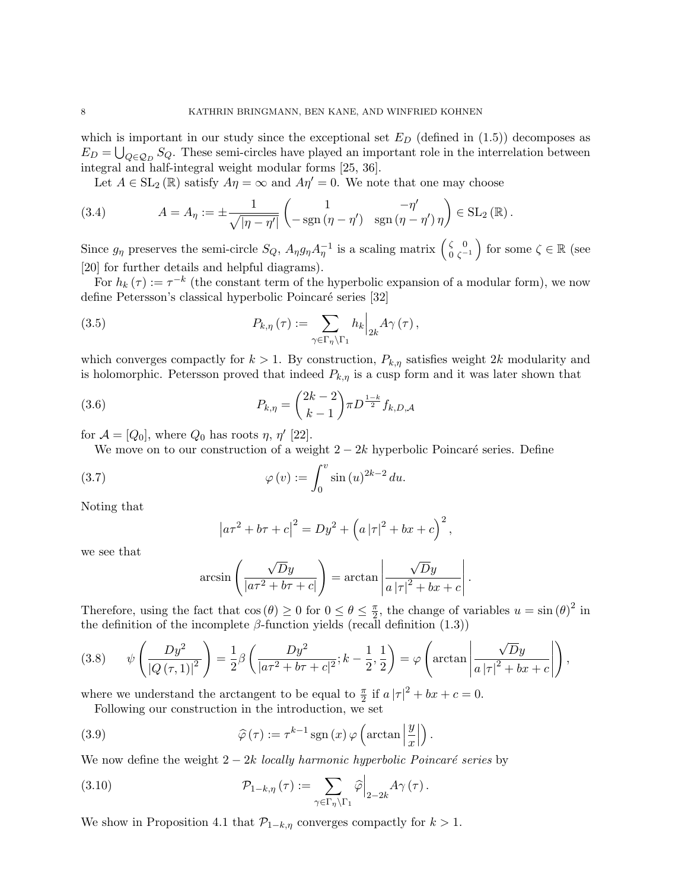which is important in our study since the exceptional set  $E_D$  (defined in (1.5)) decomposes as  $E_D = \bigcup_{Q \in \mathcal{Q}_D} S_Q$ . These semi-circles have played an important role in the interrelation between integral and half-integral weight modular forms [25, 36].

Let  $A \in SL_2(\mathbb{R})$  satisfy  $A\eta = \infty$  and  $A\eta' = 0$ . We note that one may choose

(3.4) 
$$
A = A_{\eta} := \pm \frac{1}{\sqrt{|\eta - \eta'|}} \begin{pmatrix} 1 & -\eta' \\ -\operatorname{sgn}(\eta - \eta') & \operatorname{sgn}(\eta - \eta') \eta \end{pmatrix} \in SL_2(\mathbb{R}).
$$

Since  $g_{\eta}$  preserves the semi-circle  $S_Q$ ,  $A_{\eta}g_{\eta}A_{\eta}^{-1}$  is a scaling matrix  $\begin{pmatrix} \zeta & 0 \\ 0 & \zeta \end{pmatrix}$  $\begin{pmatrix} \zeta & 0 \\ 0 & \zeta^{-1} \end{pmatrix}$  for some  $\zeta \in \mathbb{R}$  (see [20] for further details and helpful diagrams).

For  $h_k(\tau) := \tau^{-k}$  (the constant term of the hyperbolic expansion of a modular form), we now define Petersson's classical hyperbolic Poincaré series [32]

(3.5) 
$$
P_{k,\eta}(\tau) := \sum_{\gamma \in \Gamma_{\eta} \backslash \Gamma_1} h_k \Big|_{2k} A_{\gamma}(\tau),
$$

which converges compactly for  $k > 1$ . By construction,  $P_{k,\eta}$  satisfies weight 2k modularity and is holomorphic. Petersson proved that indeed  $P_{k,\eta}$  is a cusp form and it was later shown that

(3.6) 
$$
P_{k,\eta} = \binom{2k-2}{k-1} \pi D^{\frac{1-k}{2}} f_{k,D,A}
$$

for  $\mathcal{A} = [Q_0]$ , where  $Q_0$  has roots  $\eta$ ,  $\eta'$  [22].

We move on to our construction of a weight  $2 - 2k$  hyperbolic Poincaré series. Define

(3.7) 
$$
\varphi(v) := \int_0^v \sin(u)^{2k-2} du.
$$

Noting that

$$
|a\tau^2 + b\tau + c|^2 = Dy^2 + (a|\tau|^2 + bx + c)^2,
$$

we see that

$$
\arcsin\left(\frac{\sqrt{D}y}{|a\tau^2 + b\tau + c|}\right) = \arctan\left|\frac{\sqrt{D}y}{a|\tau|^2 + bx + c}\right|
$$

.

.

Therefore, using the fact that  $\cos(\theta) \geq 0$  for  $0 \leq \theta \leq \frac{\pi}{2}$  $\frac{\pi}{2}$ , the change of variables  $u = \sin(\theta)^2$  in the definition of the incomplete  $\beta$ -function yields (recall definition (1.3))

$$
(3.8) \qquad \psi\left(\frac{Dy^2}{\left|Q\left(\tau,1\right)\right|^2}\right) = \frac{1}{2}\beta\left(\frac{Dy^2}{\left|a\tau^2 + b\tau + c\right|^2}; k - \frac{1}{2}, \frac{1}{2}\right) = \varphi\left(\arctan\left|\frac{\sqrt{D}y}{a\left|\tau\right|^2 + bx + c}\right|\right),
$$

where we understand the arctangent to be equal to  $\frac{\pi}{2}$  if  $a |\tau|^2 + bx + c = 0$ .

Following our construction in the introduction, we set

(3.9) 
$$
\widehat{\varphi}(\tau) := \tau^{k-1} \operatorname{sgn}(x) \varphi \left( \arctan \left| \frac{y}{x} \right| \right)
$$

We now define the weight  $2 - 2k$  locally harmonic hyperbolic Poincaré series by

(3.10) 
$$
\mathcal{P}_{1-k,\eta}(\tau) := \sum_{\gamma \in \Gamma_{\eta} \backslash \Gamma_1} \widehat{\varphi} \Big|_{2-2k} A_{\gamma}(\tau).
$$

We show in Proposition 4.1 that  $\mathcal{P}_{1-k,\eta}$  converges compactly for  $k > 1$ .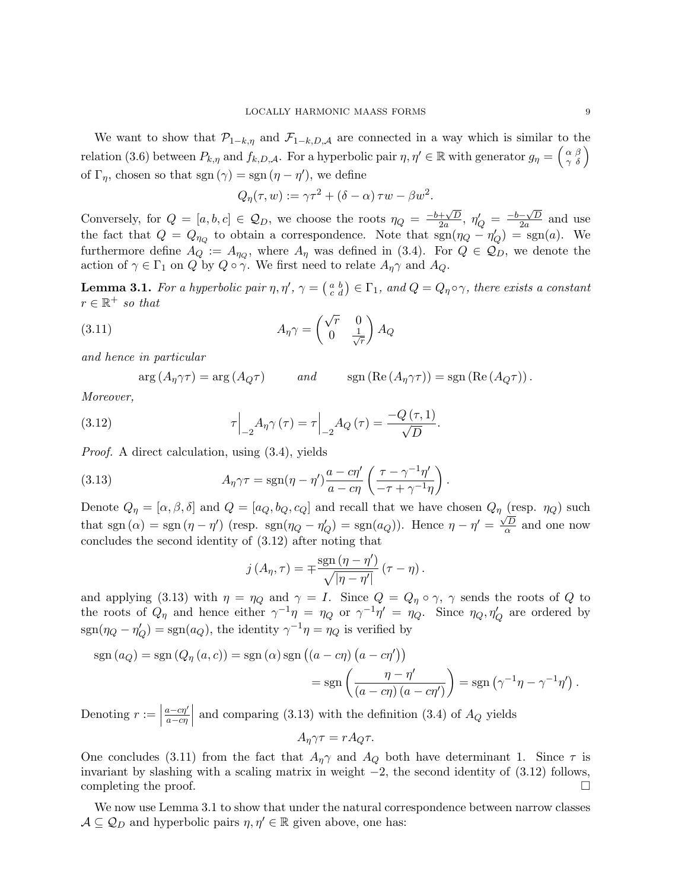We want to show that  $\mathcal{P}_{1-k,\eta}$  and  $\mathcal{F}_{1-k,D,A}$  are connected in a way which is similar to the relation (3.6) between  $P_{k,\eta}$  and  $f_{k,D,\mathcal{A}}$ . For a hyperbolic pair  $\eta, \eta' \in \mathbb{R}$  with generator  $g_{\eta} = \begin{pmatrix} \alpha & \beta \\ \gamma & \delta \end{pmatrix}$ of  $\Gamma_{\eta}$ , chosen so that sgn  $(\gamma) =$ sgn  $(\eta - \eta')$ , we define

$$
Q_{\eta}(\tau, w) := \gamma \tau^{2} + (\delta - \alpha) \tau w - \beta w^{2}.
$$

Conversely, for  $Q = [a, b, c] \in \mathcal{Q}_D$ , we choose the roots  $\eta_Q = \frac{-b + \sqrt{D}}{2a}$  $\frac{+\sqrt{D}}{2a}, \eta'_Q = \frac{-b-\sqrt{D}}{2a}$  $\frac{-\sqrt{D}}{2a}$  and use the fact that  $Q = Q_{\eta_Q}$  to obtain a correspondence. Note that  $sgn(\eta_Q - \eta_Q') = sgn(a)$ . We furthermore define  $A_Q := A_{\eta_Q}$ , where  $A_\eta$  was defined in (3.4). For  $Q \in \mathcal{Q}_D$ , we denote the action of  $\gamma \in \Gamma_1$  on Q by  $Q \circ \gamma$ . We first need to relate  $A_{\eta} \gamma$  and  $A_Q$ .

**Lemma 3.1.** For a hyperbolic pair  $\eta, \eta', \gamma = \begin{pmatrix} a & b \\ c & d \end{pmatrix} \in \Gamma_1$ , and  $Q = Q_\eta \circ \gamma$ , there exists a constant  $r \in \mathbb{R}^+$  so that

(3.11) 
$$
A_{\eta} \gamma = \begin{pmatrix} \sqrt{r} & 0 \\ 0 & \frac{1}{\sqrt{r}} \end{pmatrix} A_Q
$$

and hence in particular

 $arg (A_n \gamma \tau) = arg (A_0 \tau)$  and  $sign (Re (A_n \gamma \tau)) = sgn (Re (A_0 \tau)).$ 

Moreover,

(3.12) 
$$
\tau\Big|_{-2}A_{\eta}\gamma(\tau)=\tau\Big|_{-2}A_Q(\tau)=\frac{-Q(\tau,1)}{\sqrt{D}}.
$$

Proof. A direct calculation, using (3.4), yields

(3.13) 
$$
A_{\eta} \gamma \tau = \text{sgn}(\eta - \eta') \frac{a - c\eta'}{a - c\eta} \left( \frac{\tau - \gamma^{-1}\eta'}{-\tau + \gamma^{-1}\eta} \right)
$$

Denote  $Q_{\eta} = [\alpha, \beta, \delta]$  and  $Q = [a_Q, b_Q, c_Q]$  and recall that we have chosen  $Q_{\eta}$  (resp.  $\eta_Q$ ) such that sgn  $(\alpha)$  = sgn  $(\eta - \eta')$  (resp. sgn $(\eta_Q - \eta_Q')$ ) = sgn $(a_Q)$ ). Hence  $\eta - \eta' = \frac{\sqrt{D}}{\alpha}$  $\frac{d}{dx}$  and one now concludes the second identity of (3.12) after noting that

.

$$
j(A_{\eta}, \tau) = \pm \frac{\text{sgn}(\eta - \eta')}{\sqrt{|\eta - \eta'|}} (\tau - \eta).
$$

and applying (3.13) with  $\eta = \eta_Q$  and  $\gamma = I$ . Since  $Q = Q_\eta \circ \gamma$ ,  $\gamma$  sends the roots of Q to the roots of  $Q_{\eta}$  and hence either  $\gamma^{-1}\eta = \eta_Q$  or  $\gamma^{-1}\eta' = \eta_Q$ . Since  $\eta_Q, \eta'_Q$  are ordered by  $sgn(\eta_Q - \eta'_Q) = sgn(a_Q)$ , the identity  $\gamma^{-1}\eta = \eta_Q$  is verified by

$$
sgn(a_Q) = sgn(Q_\eta(a, c)) = sgn(\alpha) sgn((a - c\eta) (a - c\eta'))
$$
  
= 
$$
sgn\left(\frac{\eta - \eta'}{(a - c\eta) (a - c\eta')}\right) = sgn(\gamma^{-1}\eta - \gamma^{-1}\eta').
$$

Denoting  $r :=$  $a - c\eta'$  $\frac{a-c\eta'}{a-c\eta}$  and comparing (3.13) with the definition (3.4) of  $A_Q$  yields  $A_n \gamma \tau = r A_O \tau.$ 

One concludes (3.11) from the fact that 
$$
A_{\eta}\gamma
$$
 and  $A_Q$  both have determinant 1. Since  $\tau$  is  
invariant by slashing with a scaling matrix in weight -2, the second identity of (3.12) follows,  
completing the proof.

We now use Lemma 3.1 to show that under the natural correspondence between narrow classes  $A \subseteq Q_D$  and hyperbolic pairs  $\eta, \eta' \in \mathbb{R}$  given above, one has: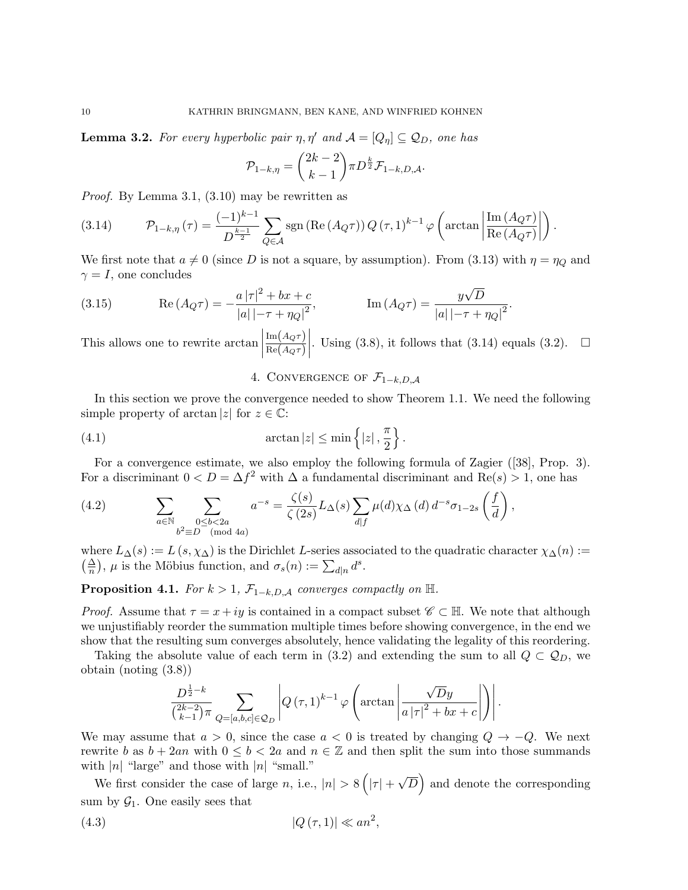**Lemma 3.2.** For every hyperbolic pair  $\eta, \eta'$  and  $\mathcal{A} = [Q_{\eta}] \subseteq Q_D$ , one has

$$
\mathcal{P}_{1-k,\eta} = {2k-2 \choose k-1} \pi D^{\frac{k}{2}} \mathcal{F}_{1-k,D,A}.
$$

Proof. By Lemma 3.1, (3.10) may be rewritten as

(3.14) 
$$
\mathcal{P}_{1-k,\eta}(\tau) = \frac{(-1)^{k-1}}{D^{\frac{k-1}{2}}} \sum_{Q \in \mathcal{A}} \text{sgn}(\text{Re}(A_Q \tau)) Q(\tau, 1)^{k-1} \varphi \left( \arctan \left| \frac{\text{Im}(A_Q \tau)}{\text{Re}(A_Q \tau)} \right| \right).
$$

We first note that  $a \neq 0$  (since D is not a square, by assumption). From (3.13) with  $\eta = \eta_Q$  and  $\gamma = I$ , one concludes

(3.15) 
$$
\operatorname{Re}(A_Q \tau) = -\frac{a |\tau|^2 + bx + c}{|a| |-\tau + \eta_Q|^2}, \qquad \operatorname{Im}(A_Q \tau) = \frac{y\sqrt{D}}{|a| |-\tau + \eta_Q|^2}.
$$

This allows one to rewrite  $\arctan$  ${\rm Im}\big(A_Q\tau\big)$  $\text{Re}\big(A_Q\tau\big)$  $\begin{array}{c} \hline \rule{0pt}{2.2ex} \\ \rule{0pt}{2.2ex} \end{array}$ . Using (3.8), it follows that (3.14) equals (3.2).  $\Box$ 

# 4. CONVERGENCE OF  $\mathcal{F}_{1-k,D,A}$

In this section we prove the convergence needed to show Theorem 1.1. We need the following simple property of arctan |z| for  $z \in \mathbb{C}$ :

(4.1) 
$$
\arctan|z| \le \min\left\{|z|, \frac{\pi}{2}\right\}.
$$

For a convergence estimate, we also employ the following formula of Zagier ([38], Prop. 3). For a discriminant  $0 < D = \Delta f^2$  with  $\Delta$  a fundamental discriminant and  $\text{Re}(s) > 1$ , one has

(4.2) 
$$
\sum_{a \in \mathbb{N}} \sum_{\substack{0 \le b < 2a \\ b^2 \equiv D \pmod{4a}}} a^{-s} = \frac{\zeta(s)}{\zeta(2s)} L_{\Delta}(s) \sum_{d|f} \mu(d) \chi_{\Delta}(d) d^{-s} \sigma_{1-2s} \left(\frac{f}{d}\right),
$$

where  $L_{\Delta}(s) := L(s, \chi_{\Delta})$  is the Dirichlet L-series associated to the quadratic character  $\chi_{\Delta}(n) :=$  $\left(\frac{\Delta}{n}\right)$ ,  $\mu$  is the Möbius function, and  $\sigma_s(n) := \sum_{d|n} d^s$ .

**Proposition 4.1.** For  $k > 1$ ,  $\mathcal{F}_{1-k,D,A}$  converges compactly on  $\mathbb{H}.$ 

*Proof.* Assume that  $\tau = x + iy$  is contained in a compact subset  $\mathscr{C} \subset \mathbb{H}$ . We note that although we unjustifiably reorder the summation multiple times before showing convergence, in the end we show that the resulting sum converges absolutely, hence validating the legality of this reordering.

Taking the absolute value of each term in (3.2) and extending the sum to all  $Q \subset \mathcal{Q}_D$ , we obtain (noting (3.8))

$$
\frac{D^{\frac{1}{2}-k}}{\binom{2k-2}{k-1}\pi} \sum_{Q=[a,b,c]\in\mathcal{Q}_D} \left|Q\left(\tau,1\right)^{k-1}\varphi\left(\arctan\left|\frac{\sqrt{D}y}{a\left|\tau\right|^2+bx+c}\right|\right)\right|.
$$

We may assume that  $a > 0$ , since the case  $a < 0$  is treated by changing  $Q \rightarrow -Q$ . We next rewrite b as  $b + 2an$  with  $0 \leq b < 2a$  and  $n \in \mathbb{Z}$  and then split the sum into those summands with  $|n|$  "large" and those with  $|n|$  "small." √

We first consider the case of large n, i.e.,  $|n| > 8(|\tau| +$  $\overline{D}$  and denote the corresponding sum by  $\mathcal{G}_1$ . One easily sees that

$$
(4.3) \t\t |Q(\tau,1)| \ll an^2,
$$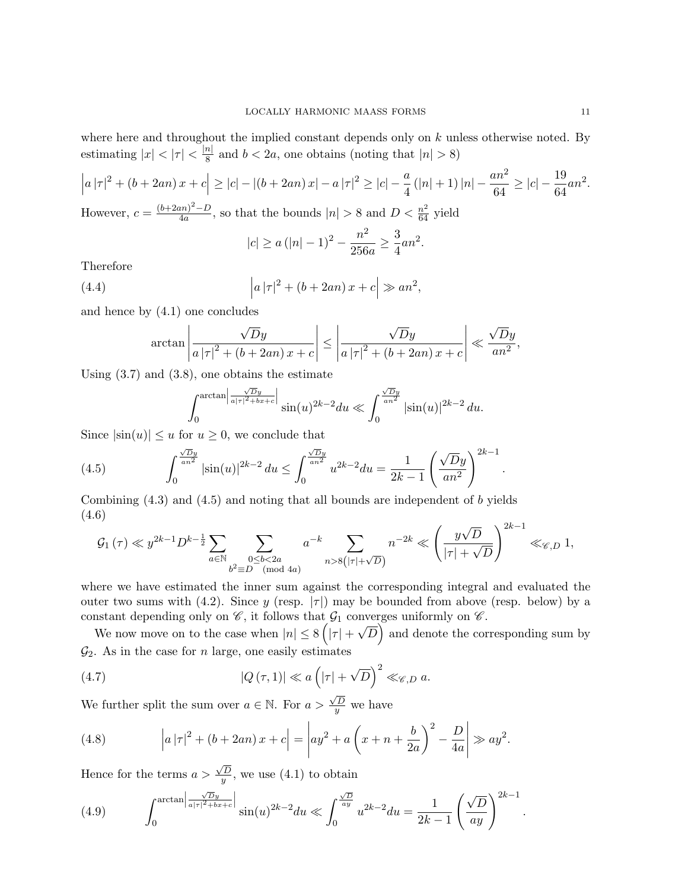where here and throughout the implied constant depends only on  $k$  unless otherwise noted. By estimating  $|x| < |\tau| < \frac{|n|}{8}$  $\frac{n}{8}$  and  $b < 2a$ , one obtains (noting that  $|n| > 8$ )

$$
\left| a\left| \tau \right|^2 + \left( b + 2an \right) x + c \right| \ge |c| - \left| \left( b + 2an \right) x \right| - a \left| \tau \right|^2 \ge |c| - \frac{a}{4} \left( |n| + 1 \right) |n| - \frac{an^2}{64} \ge |c| - \frac{19}{64}an^2.
$$
  
However,  $c = \frac{(b + 2an)^2 - D}{4a}$ , so that the bounds  $|n| > 8$  and  $D < \frac{n^2}{64}$  yield

$$
|c| \ge a (|n| - 1)^2 - \frac{n^2}{256a} \ge \frac{3}{4} a n^2.
$$

Therefore

(4.4) 
$$
\left| a \left| \tau \right|^{2} + \left( b + 2an \right) x + c \right| \gg an^{2},
$$

and hence by (4.1) one concludes

$$
\arctan\left|\frac{\sqrt{D}y}{a\left|\tau\right|^2 + \left(b + 2an\right)x + c}\right| \le \left|\frac{\sqrt{D}y}{a\left|\tau\right|^2 + \left(b + 2an\right)x + c}\right| \ll \frac{\sqrt{D}y}{an^2},
$$

Using (3.7) and (3.8), one obtains the estimate

$$
\int_0^{\arctan\left|\frac{\sqrt{D}y}{a|\tau|^2+bx+c}\right|} \sin(u)^{2k-2} du \ll \int_0^{\frac{\sqrt{D}y}{an^2}} \left|\sin(u)\right|^{2k-2} du.
$$

Since  $|\sin(u)| \le u$  for  $u \ge 0$ , we conclude that

(4.5) 
$$
\int_0^{\frac{\sqrt{D}y}{an^2}} |\sin(u)|^{2k-2} du \le \int_0^{\frac{\sqrt{D}y}{an^2}} u^{2k-2} du = \frac{1}{2k-1} \left( \frac{\sqrt{D}y}{an^2} \right)^{2k-1}
$$

Combining (4.3) and (4.5) and noting that all bounds are independent of b yields (4.6)  $\sqrt{2k-1}$ 

$$
\mathcal{G}_1(\tau) \ll y^{2k-1} D^{k-\frac{1}{2}} \sum_{a \in \mathbb{N}} \sum_{\substack{0 \le b < 2a \\ b^2 \equiv D \pmod{4a}}} a^{-k} \sum_{n > 8(|\tau| + \sqrt{D})} n^{-2k} \ll \left(\frac{y\sqrt{D}}{|\tau| + \sqrt{D}}\right)^{2k-1} \ll_{\mathscr{C}, D} 1,
$$

where we have estimated the inner sum against the corresponding integral and evaluated the outer two sums with (4.2). Since y (resp.  $|\tau|$ ) may be bounded from above (resp. below) by a constant depending only on  $\mathscr{C}$ , it follows that  $\mathcal{G}_1$  converges uniformly on  $\mathscr{C}$ . √

We now move on to the case when  $|n| \leq 8(|\tau| +$  $\overline{D}$  and denote the corresponding sum by  $\mathcal{G}_2$ . As in the case for n large, one easily estimates

(4.7) 
$$
|Q(\tau,1)| \ll a \left( |\tau| + \sqrt{D} \right)^2 \ll_{\mathscr{C},D} a.
$$

We further split the sum over  $a \in \mathbb{N}$ . For  $a > \frac{\sqrt{D}}{u}$  $\frac{y}{y}$  we have

(4.8) 
$$
\left| a \left| \tau \right|^2 + (b + 2an)x + c \right| = \left| ay^2 + a \left( x + n + \frac{b}{2a} \right)^2 - \frac{D}{4a} \right| \gg ay^2.
$$

Hence for the terms  $a >$  $\sqrt{D}$  $\frac{y}{y}$ , we use (4.1) to obtain

(4.9) 
$$
\int_0^{\arctan \left| \frac{\sqrt{D}y}{a|\tau|^2 + bx + c} \right|} \sin(u)^{2k - 2} du \ll \int_0^{\frac{\sqrt{D}}{ay}} u^{2k - 2} du = \frac{1}{2k - 1} \left( \frac{\sqrt{D}}{ay} \right)^{2k - 1} .
$$

.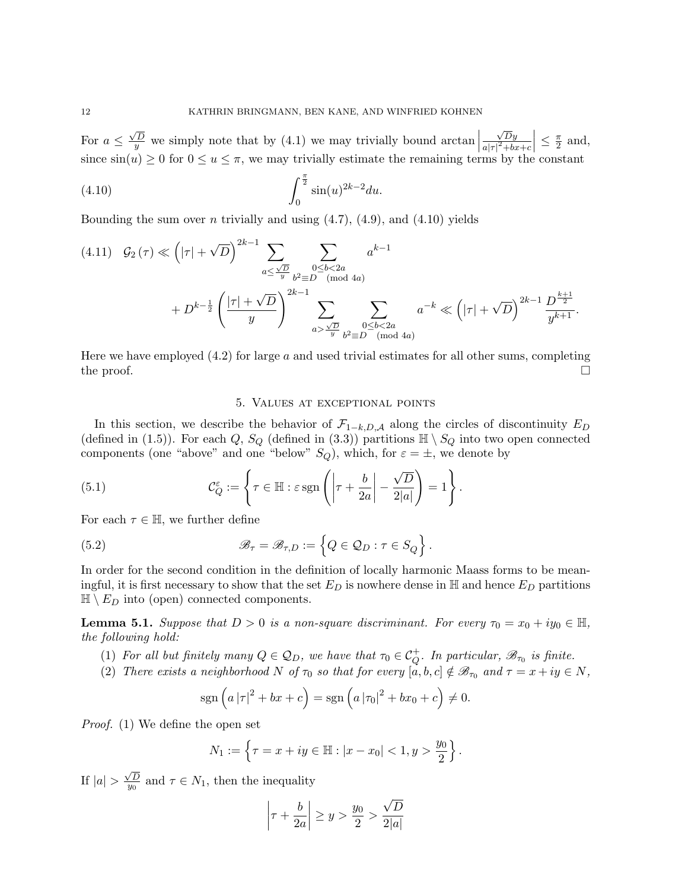For  $a \leq$  $\frac{\sqrt{D}}{y}$  we simply note that by (4.1) we may trivially bound arctan  $\sqrt{D}y$  $a|\tau|^2+bx+c$  $\Big| \leq \frac{\pi}{2}$  $\frac{\pi}{2}$  and, since  $\sin(u) \ge 0$  for  $0 \le u \le \pi$ , we may trivially estimate the remaining terms by the constant

(4.10) 
$$
\int_0^{\frac{\pi}{2}} \sin(u)^{2k-2} du.
$$

Bounding the sum over n trivially and using  $(4.7)$ ,  $(4.9)$ , and  $(4.10)$  yields

$$
(4.11) \quad \mathcal{G}_2(\tau) \ll \left( |\tau| + \sqrt{D} \right)^{2k-1} \sum_{a \le \frac{\sqrt{D}}{y}} \sum_{\substack{b^2 \equiv D \pmod{4a} \\ b^2 \equiv D \pmod{4a}}} a^{k-1} + D^{k-\frac{1}{2}} \left( \frac{|\tau| + \sqrt{D}}{y} \right)^{2k-1} \sum_{\substack{a > \frac{\sqrt{D}}{y}} \sum_{\substack{b^2 \equiv D \pmod{4a} \\ \text{mod } 4a}}} a^{-k} \ll \left( |\tau| + \sqrt{D} \right)^{2k-1} \frac{D^{\frac{k+1}{2}}}{y^{k+1}}.
$$

Here we have employed  $(4.2)$  for large a and used trivial estimates for all other sums, completing the proof.  $\Box$ 

## 5. Values at exceptional points

In this section, we describe the behavior of  $\mathcal{F}_{1-k,D,A}$  along the circles of discontinuity  $E_D$ (defined in (1.5)). For each Q,  $S_Q$  (defined in (3.3)) partitions  $\mathbb{H} \setminus S_Q$  into two open connected components (one "above" and one "below"  $S_Q$ ), which, for  $\varepsilon = \pm$ , we denote by

(5.1) 
$$
\mathcal{C}_Q^{\varepsilon} := \left\{ \tau \in \mathbb{H} : \varepsilon \operatorname{sgn}\left( \left| \tau + \frac{b}{2a} \right| - \frac{\sqrt{D}}{2|a|} \right) = 1 \right\}.
$$

For each  $\tau \in \mathbb{H}$ , we further define

(5.2) 
$$
\mathscr{B}_{\tau} = \mathscr{B}_{\tau,D} := \left\{ Q \in \mathcal{Q}_D : \tau \in S_Q \right\}.
$$

In order for the second condition in the definition of locally harmonic Maass forms to be meaningful, it is first necessary to show that the set  $E_D$  is nowhere dense in H and hence  $E_D$  partitions  $\mathbb{H} \setminus E_D$  into (open) connected components.

**Lemma 5.1.** Suppose that  $D > 0$  is a non-square discriminant. For every  $\tau_0 = x_0 + iy_0 \in \mathbb{H}$ , the following hold:

- (1) For all but finitely many  $Q \in \mathcal{Q}_D$ , we have that  $\tau_0 \in \mathcal{C}_Q^+$ . In particular,  $\mathcal{B}_{\tau_0}$  is finite.
- (2) There exists a neighborhood N of  $\tau_0$  so that for every  $[a, b, c] \notin \mathscr{B}_{\tau_0}$  and  $\tau = x + iy \in N$ ,

$$
\operatorname{sgn}(a|\tau|^2 + bx + c) = \operatorname{sgn}(a|\tau_0|^2 + bx_0 + c) \neq 0.
$$

Proof. (1) We define the open set

$$
N_1 := \left\{ \tau = x + iy \in \mathbb{H} : |x - x_0| < 1, y > \frac{y_0}{2} \right\}.
$$

If  $|a|>$  $\sqrt{D}$  $\frac{\sqrt{D}}{y_0}$  and  $\tau \in N_1$ , then the inequality

$$
\left|\tau+\frac{b}{2a}\right|\geq y>\frac{y_0}{2}>\frac{\sqrt{D}}{2|a|}
$$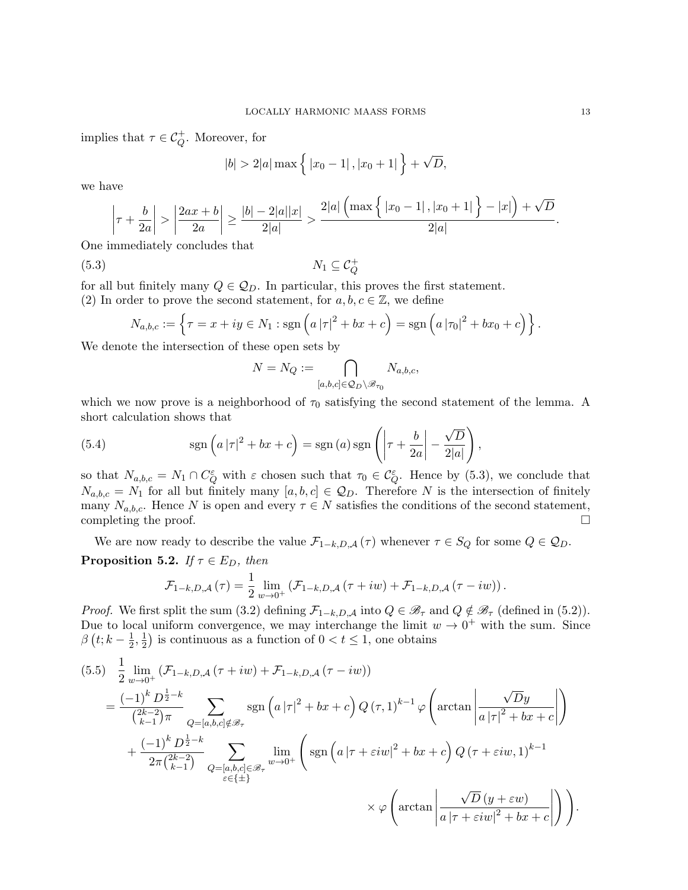implies that  $\tau \in \mathcal{C}_Q^+$ . Moreover, for

$$
|b| > 2|a| \max \left\{ |x_0 - 1|, |x_0 + 1| \right\} + \sqrt{D},
$$

we have

$$
\left|\tau+\frac{b}{2a}\right| > \left|\frac{2ax+b}{2a}\right| \ge \frac{|b|-2|a||x|}{2|a|} > \frac{2|a|\left(\max\left\{|x_0-1|,|x_0+1|\right\}-|x|\right)+\sqrt{D}}{2|a|}.
$$

One immediately concludes that

$$
(5.3) \t\t N_1 \subseteq \mathcal{C}_Q^+
$$

for all but finitely many  $Q \in \mathcal{Q}_D$ . In particular, this proves the first statement.

(2) In order to prove the second statement, for  $a, b, c \in \mathbb{Z}$ , we define

$$
N_{a,b,c} := \left\{ \tau = x + iy \in N_1 : \text{sgn}\left(a\left|\tau\right|^2 + bx + c\right) = \text{sgn}\left(a\left|\tau_0\right|^2 + bx_0 + c\right) \right\}.
$$

We denote the intersection of these open sets by

$$
N = N_Q := \bigcap_{[a,b,c] \in Q_D \setminus \mathcal{B}_{\tau_0}} N_{a,b,c},
$$

which we now prove is a neighborhood of  $\tau_0$  satisfying the second statement of the lemma. A short calculation shows that

(5.4) 
$$
\operatorname{sgn}\left(a\left|\tau\right|^2 + bx + c\right) = \operatorname{sgn}\left(a\right)\operatorname{sgn}\left(\left|\tau + \frac{b}{2a}\right| - \frac{\sqrt{D}}{2|a|}\right),
$$

so that  $N_{a,b,c} = N_1 \cap C_Q^{\varepsilon}$  with  $\varepsilon$  chosen such that  $\tau_0 \in C_Q^{\varepsilon}$ . Hence by (5.3), we conclude that  $N_{a,b,c} = N_1$  for all but finitely many  $[a, b, c] \in \mathcal{Q}_D$ . Therefore N is the intersection of finitely many  $N_{a,b,c}$ . Hence N is open and every  $\tau \in N$  satisfies the conditions of the second statement, completing the proof.  $\Box$ 

We are now ready to describe the value  $\mathcal{F}_{1-k,D,\mathcal{A}}(\tau)$  whenever  $\tau \in S_Q$  for some  $Q \in \mathcal{Q}_D$ .

**Proposition 5.2.** If  $\tau \in E_D$ , then

$$
\mathcal{F}_{1-k,D,\mathcal{A}}\left(\tau\right)=\frac{1}{2}\lim_{w\to 0^+}\left(\mathcal{F}_{1-k,D,\mathcal{A}}\left(\tau+iw\right)+\mathcal{F}_{1-k,D,\mathcal{A}}\left(\tau-iw\right)\right).
$$

*Proof.* We first split the sum (3.2) defining  $\mathcal{F}_{1-k,D,A}$  into  $Q \in \mathscr{B}_{\tau}$  and  $Q \notin \mathscr{B}_{\tau}$  (defined in (5.2)). Due to local uniform convergence, we may interchange the limit  $w \to 0^+$  with the sum. Since  $\beta$   $(t; k - \frac{1}{2})$  $\frac{1}{2}, \frac{1}{2}$  $\frac{1}{2}$ ) is continuous as a function of  $0 < t \leq 1$ , one obtains

$$
(5.5) \frac{1}{2} \lim_{w \to 0^{+}} (\mathcal{F}_{1-k,D,A}(\tau + iw) + \mathcal{F}_{1-k,D,A}(\tau - iw))
$$
  
\n
$$
= \frac{(-1)^{k} D^{\frac{1}{2} - k}}{\binom{2k - 2}{k - 1} \pi} \sum_{Q = [a,b,c] \notin \mathcal{B}_{\tau}} \text{sgn}\left(a|\tau|^{2} + bx + c\right) Q(\tau, 1)^{k - 1} \varphi\left(\arctan\left|\frac{\sqrt{D}y}{a|\tau|^{2} + bx + c}\right|\right)
$$
  
\n
$$
+ \frac{(-1)^{k} D^{\frac{1}{2} - k}}{2\pi \binom{2k - 2}{k - 1}} \sum_{Q = [a,b,c] \in \mathcal{B}_{\tau}} \lim_{w \to 0^{+}} \left(\text{sgn}\left(a|\tau + \varepsilon iw|^{2} + bx + c\right) Q(\tau + \varepsilon iw, 1)^{k - 1} \right)
$$
  
\n
$$
\times \varphi\left(\arctan\left|\frac{\sqrt{D}(y + \varepsilon w)}{a|\tau + \varepsilon iw|^{2} + bx + c}\right|\right)\right).
$$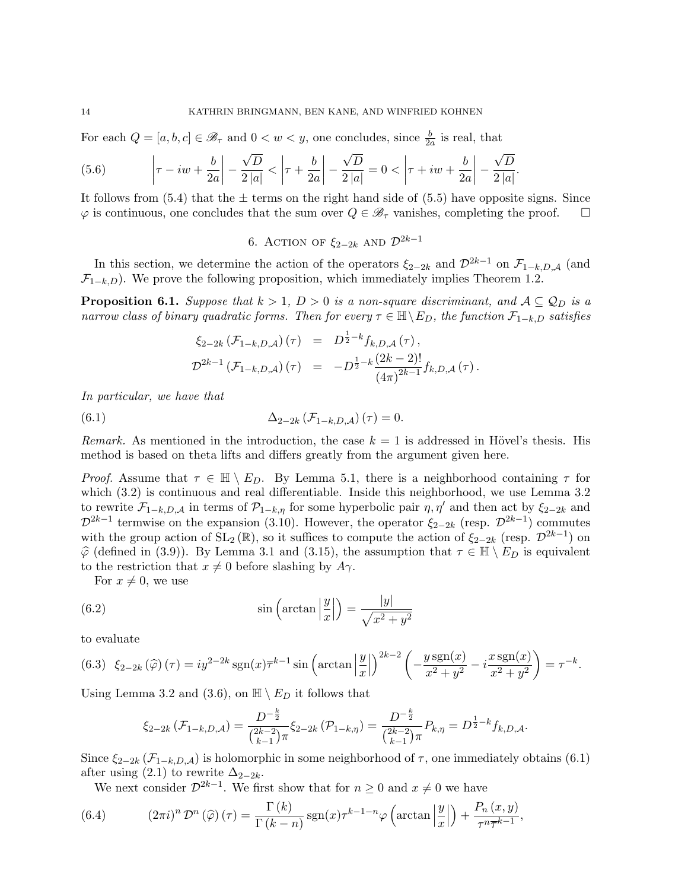For each  $Q = [a, b, c] \in \mathscr{B}_{\tau}$  and  $0 < w < y$ , one concludes, since  $\frac{b}{2a}$  is real, that

(5.6) 
$$
\left|\tau - iw + \frac{b}{2a}\right| - \frac{\sqrt{D}}{2|a|} < \left|\tau + \frac{b}{2a}\right| - \frac{\sqrt{D}}{2|a|} = 0 < \left|\tau + iw + \frac{b}{2a}\right| - \frac{\sqrt{D}}{2|a|}.
$$

It follows from  $(5.4)$  that the  $\pm$  terms on the right hand side of  $(5.5)$  have opposite signs. Since  $\varphi$  is continuous, one concludes that the sum over  $Q \in \mathcal{B}_{\tau}$  vanishes, completing the proof.  $\square$ 

6. ACTION OF  $\xi_{2-2k}$  and  $\mathcal{D}^{2k-1}$ 

In this section, we determine the action of the operators  $\xi_{2-2k}$  and  $\mathcal{D}^{2k-1}$  on  $\mathcal{F}_{1-k,D,A}$  (and  $\mathcal{F}_{1-k,D}$ ). We prove the following proposition, which immediately implies Theorem 1.2.

**Proposition 6.1.** Suppose that  $k > 1$ ,  $D > 0$  is a non-square discriminant, and  $A \subseteq Q_D$  is a narrow class of binary quadratic forms. Then for every  $\tau \in \mathbb{H} \setminus E_D$ , the function  $\mathcal{F}_{1-k,D}$  satisfies

$$
\xi_{2-2k} (\mathcal{F}_{1-k,D,\mathcal{A}}) (\tau) = D^{\frac{1}{2}-k} f_{k,D,\mathcal{A}} (\tau),
$$
  

$$
\mathcal{D}^{2k-1} (\mathcal{F}_{1-k,D,\mathcal{A}}) (\tau) = -D^{\frac{1}{2}-k} \frac{(2k-2)!}{(4\pi)^{2k-1}} f_{k,D,\mathcal{A}} (\tau).
$$

In particular, we have that

(6.1) 
$$
\Delta_{2-2k} \left( \mathcal{F}_{1-k,D,\mathcal{A}} \right) (\tau) = 0.
$$

Remark. As mentioned in the introduction, the case  $k = 1$  is addressed in Hövel's thesis. His method is based on theta lifts and differs greatly from the argument given here.

*Proof.* Assume that  $\tau \in \mathbb{H} \setminus E_D$ . By Lemma 5.1, there is a neighborhood containing  $\tau$  for which  $(3.2)$  is continuous and real differentiable. Inside this neighborhood, we use Lemma 3.2 to rewrite  $\mathcal{F}_{1-k,D,A}$  in terms of  $\mathcal{P}_{1-k,\eta}$  for some hyperbolic pair  $\eta, \eta'$  and then act by  $\xi_{2-2k}$  and  $\mathcal{D}^{2k-1}$  termwise on the expansion (3.10). However, the operator  $\xi_{2-2k}$  (resp.  $\mathcal{D}^{2k-1}$ ) commutes with the group action of  $SL_2(\mathbb{R})$ , so it suffices to compute the action of  $\xi_{2-2k}$  (resp.  $\mathcal{D}^{2k-1}$ ) on  $\hat{\varphi}$  (defined in (3.9)). By Lemma 3.1 and (3.15), the assumption that  $\tau \in \mathbb{H} \setminus E_D$  is equivalent to the restriction that  $x \neq 0$  before slashing by  $A\gamma$ .

For  $x \neq 0$ , we use

(6.2) 
$$
\sin\left(\arctan\left|\frac{y}{x}\right|\right) = \frac{|y|}{\sqrt{x^2 + y^2}}
$$

to evaluate

$$
(6.3) \ \ \xi_{2-2k}(\widehat{\varphi})\left(\tau\right) = iy^{2-2k} \operatorname{sgn}(x) \overline{\tau}^{k-1} \sin\left(\arctan\left|\frac{y}{x}\right|\right)^{2k-2} \left(-\frac{y \operatorname{sgn}(x)}{x^2 + y^2} - i\frac{x \operatorname{sgn}(x)}{x^2 + y^2}\right) = \tau^{-k}.
$$

Using Lemma 3.2 and (3.6), on  $\mathbb{H} \setminus E_D$  it follows that

$$
\xi_{2-2k}(\mathcal{F}_{1-k,D,\mathcal{A}}) = \frac{D^{-\frac{k}{2}}}{\binom{2k-2}{k-1}\pi} \xi_{2-2k}(\mathcal{P}_{1-k,\eta}) = \frac{D^{-\frac{k}{2}}}{\binom{2k-2}{k-1}\pi} P_{k,\eta} = D^{\frac{1}{2}-k} f_{k,D,\mathcal{A}}.
$$

Since  $\xi_{2-2k}$  ( $\mathcal{F}_{1-k,D,A}$ ) is holomorphic in some neighborhood of  $\tau$ , one immediately obtains (6.1) after using (2.1) to rewrite  $\Delta_{2-2k}$ .

We next consider  $\mathcal{D}^{2k-1}$ . We first show that for  $n \geq 0$  and  $x \neq 0$  we have

(6.4) 
$$
(2\pi i)^n \mathcal{D}^n(\widehat{\varphi}) (\tau) = \frac{\Gamma(k)}{\Gamma(k-n)} \operatorname{sgn}(x) \tau^{k-1-n} \varphi \left( \arctan \left| \frac{y}{x} \right| \right) + \frac{P_n(x, y)}{\tau^n \tau^{k-1}},
$$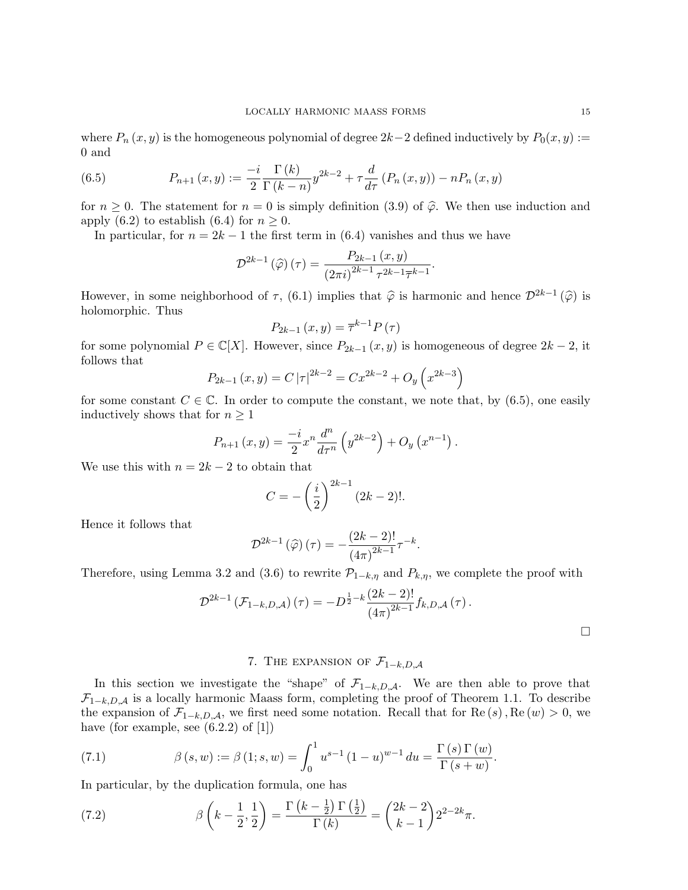where  $P_n(x, y)$  is the homogeneous polynomial of degree 2k–2 defined inductively by  $P_0(x, y) :=$ 0 and

(6.5) 
$$
P_{n+1}(x,y) := \frac{-i}{2} \frac{\Gamma(k)}{\Gamma(k-n)} y^{2k-2} + \tau \frac{d}{d\tau} (P_n(x,y)) - n P_n(x,y)
$$

for  $n \geq 0$ . The statement for  $n = 0$  is simply definition (3.9) of  $\hat{\varphi}$ . We then use induction and apply (6.2) to establish (6.4) for  $n \geq 0$ .

In particular, for  $n = 2k - 1$  the first term in (6.4) vanishes and thus we have

$$
\mathcal{D}^{2k-1}\left(\widehat{\varphi}\right)\left(\tau\right) = \frac{P_{2k-1}\left(x,y\right)}{\left(2\pi i\right)^{2k-1}\tau^{2k-1}\overline{\tau}^{k-1}}.
$$

However, in some neighborhood of  $\tau$ , (6.1) implies that  $\hat{\varphi}$  is harmonic and hence  $\mathcal{D}^{2k-1}(\hat{\varphi})$  is halomorphic. Thus holomorphic. Thus

$$
P_{2k-1}(x,y) = \overline{\tau}^{k-1} P(\tau)
$$

for some polynomial  $P \in \mathbb{C}[X]$ . However, since  $P_{2k-1}(x, y)$  is homogeneous of degree  $2k-2$ , it follows that

$$
P_{2k-1}(x,y) = C |\tau|^{2k-2} = Cx^{2k-2} + O_y\left(x^{2k-3}\right)
$$

for some constant  $C \in \mathbb{C}$ . In order to compute the constant, we note that, by (6.5), one easily inductively shows that for  $n \geq 1$ 

$$
P_{n+1}(x,y) = \frac{-i}{2} x^n \frac{d^n}{d\tau^n} \left( y^{2k-2} \right) + O_y \left( x^{n-1} \right).
$$

We use this with  $n = 2k - 2$  to obtain that

$$
C = -\left(\frac{i}{2}\right)^{2k-1} (2k-2)!
$$

Hence it follows that

$$
\mathcal{D}^{2k-1}\left(\widehat{\varphi}\right)(\tau)=-\frac{(2k-2)!}{\left(4\pi\right)^{2k-1}}\tau^{-k}.
$$

Therefore, using Lemma 3.2 and (3.6) to rewrite  $\mathcal{P}_{1-k,\eta}$  and  $P_{k,\eta}$ , we complete the proof with

$$
\mathcal{D}^{2k-1} \left( \mathcal{F}_{1-k,D,\mathcal{A}} \right) (\tau) = -D^{\frac{1}{2} - k} \frac{(2k-2)!}{(4\pi)^{2k-1}} f_{k,D,\mathcal{A}} (\tau) .
$$

# 7. THE EXPANSION OF  $\mathcal{F}_{1-k,D,A}$

In this section we investigate the "shape" of  $\mathcal{F}_{1-k,D,A}$ . We are then able to prove that  $\mathcal{F}_{1-k,D,A}$  is a locally harmonic Maass form, completing the proof of Theorem 1.1. To describe the expansion of  $\mathcal{F}_{1-k,D,\mathcal{A}}$ , we first need some notation. Recall that for Re  $(s)$ , Re  $(w) > 0$ , we have (for example, see  $(6.2.2)$  of  $[1]$ )

(7.1) 
$$
\beta(s, w) := \beta(1; s, w) = \int_0^1 u^{s-1} (1-u)^{w-1} du = \frac{\Gamma(s) \Gamma(w)}{\Gamma(s+w)}.
$$

In particular, by the duplication formula, one has

(7.2) 
$$
\beta\left(k-\frac{1}{2},\frac{1}{2}\right)=\frac{\Gamma\left(k-\frac{1}{2}\right)\Gamma\left(\frac{1}{2}\right)}{\Gamma\left(k\right)}=\binom{2k-2}{k-1}2^{2-2k}\pi.
$$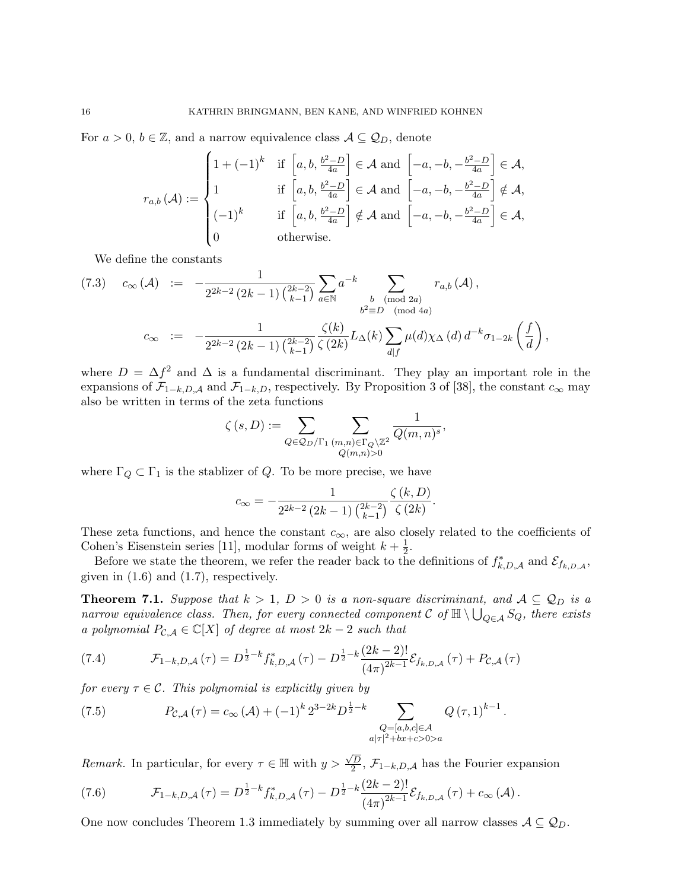For  $a > 0$ ,  $b \in \mathbb{Z}$ , and a narrow equivalence class  $A \subseteq \mathcal{Q}_D$ , denote

$$
r_{a,b}(\mathcal{A}) := \begin{cases} 1 + (-1)^k & \text{if } \left[a, b, \frac{b^2 - D}{4a}\right] \in \mathcal{A} \text{ and } \left[-a, -b, -\frac{b^2 - D}{4a}\right] \in \mathcal{A}, \\ 1 & \text{if } \left[a, b, \frac{b^2 - D}{4a}\right] \in \mathcal{A} \text{ and } \left[-a, -b, -\frac{b^2 - D}{4a}\right] \notin \mathcal{A}, \\ (-1)^k & \text{if } \left[a, b, \frac{b^2 - D}{4a}\right] \notin \mathcal{A} \text{ and } \left[-a, -b, -\frac{b^2 - D}{4a}\right] \in \mathcal{A}, \\ 0 & \text{otherwise.} \end{cases}
$$

We define the constants

$$
(7.3) \quad c_{\infty}(\mathcal{A}) \ := \ -\frac{1}{2^{2k-2} (2k-1) \binom{2k-2}{k-1}} \sum_{a \in \mathbb{N}} a^{-k} \sum_{\substack{b \pmod{2a} \\ b^2 \equiv D \pmod{4a}}} r_{a,b}(\mathcal{A}),
$$

$$
c_{\infty} \ := \ -\frac{1}{2^{2k-2} (2k-1) \binom{2k-2}{k-1}} \frac{\zeta(k)}{\zeta(2k)} L_{\Delta}(k) \sum_{d|f} \mu(d) \chi_{\Delta}(d) d^{-k} \sigma_{1-2k} \left(\frac{f}{d}\right),
$$

where  $D = \Delta f^2$  and  $\Delta$  is a fundamental discriminant. They play an important role in the expansions of  $\mathcal{F}_{1-k,D,A}$  and  $\mathcal{F}_{1-k,D}$ , respectively. By Proposition 3 of [38], the constant  $c_{\infty}$  may also be written in terms of the zeta functions

$$
\zeta(s,D) := \sum_{Q \in \mathcal{Q}_D/\Gamma_1} \sum_{\substack{(m,n) \in \Gamma_Q \backslash \mathbb{Z}^2 \\ Q(m,n) > 0}} \frac{1}{Q(m,n)^s},
$$

where  $\Gamma_Q \subset \Gamma_1$  is the stablizer of Q. To be more precise, we have

$$
c_{\infty} = -\frac{1}{2^{2k-2} (2k-1) \binom{2k-2}{k-1} } \frac{\zeta(k,D)}{\zeta(2k)}.
$$

These zeta functions, and hence the constant  $c_{\infty}$ , are also closely related to the coefficients of Cohen's Eisenstein series [11], modular forms of weight  $k + \frac{1}{2}$  $\frac{1}{2}$ .

Before we state the theorem, we refer the reader back to the definitions of  $f_{k,D,A}^*$  and  $\mathcal{E}_{f_{k,D,A}},$ given in  $(1.6)$  and  $(1.7)$ , respectively.

**Theorem 7.1.** Suppose that  $k > 1$ ,  $D > 0$  is a non-square discriminant, and  $A \subseteq Q_D$  is a narrow equivalence class. Then, for every connected component C of  $\mathbb{H} \setminus \bigcup_{Q \in \mathcal{A}} S_Q$ , there exists a polynomial  $P_{\mathcal{C},\mathcal{A}} \in \mathbb{C}[X]$  of degree at most  $2k - 2$  such that

(7.4) 
$$
\mathcal{F}_{1-k,D,A}(\tau) = D^{\frac{1}{2}-k} f_{k,D,A}^*(\tau) - D^{\frac{1}{2}-k} \frac{(2k-2)!}{(4\pi)^{2k-1}} \mathcal{E}_{f_{k,D,A}}(\tau) + P_{\mathcal{C},\mathcal{A}}(\tau)
$$

for every  $\tau \in \mathcal{C}$ . This polynomial is explicitly given by

(7.5) 
$$
P_{\mathcal{C},\mathcal{A}}(\tau) = c_{\infty}(\mathcal{A}) + (-1)^k 2^{3-2k} D^{\frac{1}{2}-k} \sum_{\substack{Q = [a,b,c] \in \mathcal{A} \\ a|\tau|^2 + bx + c > 0 > a}} Q(\tau,1)^{k-1}.
$$

*Remark.* In particular, for every  $\tau \in \mathbb{H}$  with  $y > \frac{\sqrt{D}}{2}$  $\frac{2D}{2}$ ,  $\mathcal{F}_{1-k,D,A}$  has the Fourier expansion

(7.6) 
$$
\mathcal{F}_{1-k,D,A}(\tau) = D^{\frac{1}{2}-k} f_{k,D,A}^*(\tau) - D^{\frac{1}{2}-k} \frac{(2k-2)!}{(4\pi)^{2k-1}} \mathcal{E}_{f_{k,D,A}}(\tau) + c_{\infty}(\mathcal{A}).
$$

One now concludes Theorem 1.3 immediately by summing over all narrow classes  $A \subseteq Q_D$ .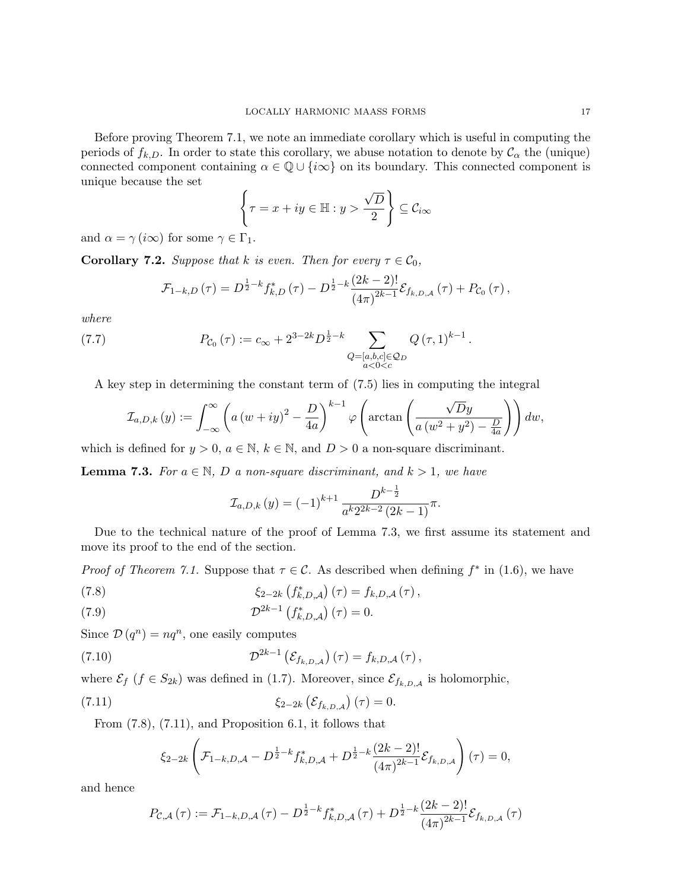Before proving Theorem 7.1, we note an immediate corollary which is useful in computing the periods of  $f_{k,D}$ . In order to state this corollary, we abuse notation to denote by  $\mathcal{C}_{\alpha}$  the (unique) connected component containing  $\alpha \in \mathbb{Q} \cup \{i\infty\}$  on its boundary. This connected component is unique because the set √

$$
\left\{\tau = x + iy \in \mathbb{H} : y > \frac{\sqrt{D}}{2}\right\} \subseteq \mathcal{C}_{i\infty}
$$

and  $\alpha = \gamma (i\infty)$  for some  $\gamma \in \Gamma_1$ .

**Corollary 7.2.** Suppose that k is even. Then for every  $\tau \in \mathcal{C}_0$ ,

$$
\mathcal{F}_{1-k,D}(\tau) = D^{\frac{1}{2}-k} f_{k,D}^*(\tau) - D^{\frac{1}{2}-k} \frac{(2k-2)!}{(4\pi)^{2k-1}} \mathcal{E}_{f_{k,D,A}}(\tau) + P_{\mathcal{C}_0}(\tau),
$$

where

(7.7) 
$$
P_{\mathcal{C}_0}(\tau) := c_{\infty} + 2^{3-2k} D^{\frac{1}{2}-k} \sum_{\substack{Q = [a,b,c] \in \mathcal{Q}_D \\ a < 0 < c}} Q(\tau, 1)^{k-1}.
$$

A key step in determining the constant term of (7.5) lies in computing the integral

$$
\mathcal{I}_{a,D,k}(y) := \int_{-\infty}^{\infty} \left( a \left( w + iy \right)^2 - \frac{D}{4a} \right)^{k-1} \varphi \left( \arctan \left( \frac{\sqrt{D}y}{a \left( w^2 + y^2 \right) - \frac{D}{4a}} \right) \right) dw,
$$

which is defined for  $y > 0$ ,  $a \in \mathbb{N}$ ,  $k \in \mathbb{N}$ , and  $D > 0$  a non-square discriminant.

**Lemma 7.3.** For  $a \in \mathbb{N}$ , D a non-square discriminant, and  $k > 1$ , we have

$$
\mathcal{I}_{a,D,k}(y) = (-1)^{k+1} \frac{D^{k-\frac{1}{2}}}{a^k 2^{2k-2} (2k-1)} \pi.
$$

Due to the technical nature of the proof of Lemma 7.3, we first assume its statement and move its proof to the end of the section.

*Proof of Theorem 7.1.* Suppose that  $\tau \in \mathcal{C}$ . As described when defining  $f^*$  in (1.6), we have

(7.8) 
$$
\xi_{2-2k} (f_{k,D,A}^*) (\tau) = f_{k,D,A} (\tau),
$$

(7.9) 
$$
\mathcal{D}^{2k-1}\left(f_{k,D,\mathcal{A}}^{*}\right)(\tau)=0.
$$

Since  $\mathcal{D}(q^n) = nq^n$ , one easily computes

(7.10) 
$$
\mathcal{D}^{2k-1}\left(\mathcal{E}_{f_{k,D,A}}\right)(\tau)=f_{k,D,A}(\tau),
$$

where  $\mathcal{E}_f$  ( $f \in S_{2k}$ ) was defined in (1.7). Moreover, since  $\mathcal{E}_{f_{k,D,A}}$  is holomorphic,

(7.11) 
$$
\xi_{2-2k} \left( \mathcal{E}_{f_{k,D,A}} \right) (\tau) = 0.
$$

From (7.8), (7.11), and Proposition 6.1, it follows that

$$
\xi_{2-2k}\left(\mathcal{F}_{1-k,D,\mathcal{A}}-D^{\frac{1}{2}-k}f_{k,D,\mathcal{A}}^{*}+D^{\frac{1}{2}-k}\frac{(2k-2)!}{(4\pi)^{2k-1}}\mathcal{E}_{f_{k,D,\mathcal{A}}}\right)(\tau)=0,
$$

and hence

$$
P_{\mathcal{C},\mathcal{A}}\left(\tau\right) := \mathcal{F}_{1-k,D,\mathcal{A}}\left(\tau\right) - D^{\frac{1}{2}-k} f_{k,D,\mathcal{A}}^{*}\left(\tau\right) + D^{\frac{1}{2}-k} \frac{(2k-2)!}{\left(4\pi\right)^{2k-1}} \mathcal{E}_{f_{k,D,\mathcal{A}}}\left(\tau\right)
$$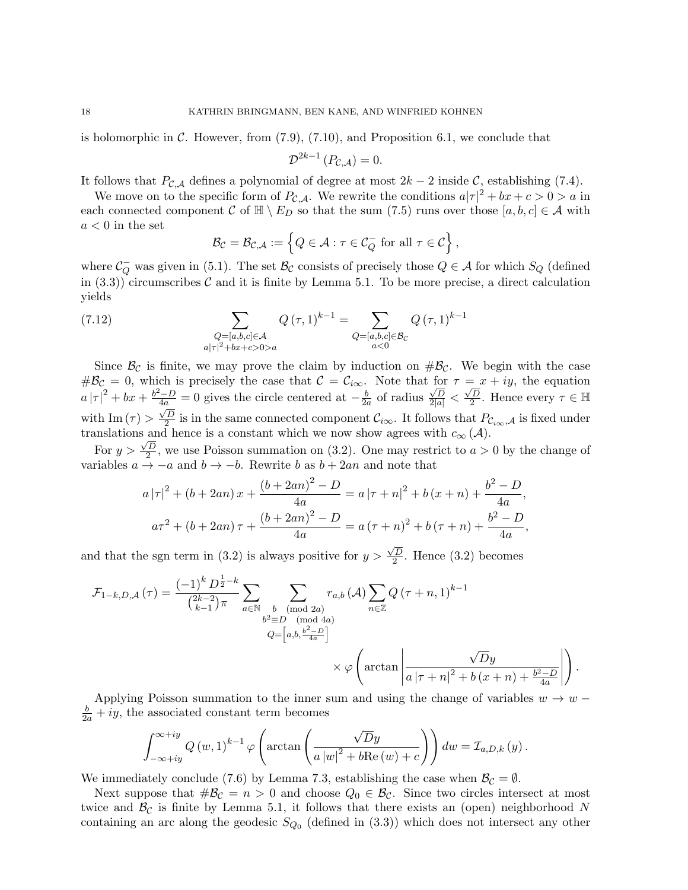is holomorphic in C. However, from  $(7.9)$ ,  $(7.10)$ , and Proposition 6.1, we conclude that

$$
\mathcal{D}^{2k-1}\left(P_{\mathcal{C},\mathcal{A}}\right)=0.
$$

It follows that  $P_{\mathcal{C},\mathcal{A}}$  defines a polynomial of degree at most  $2k-2$  inside  $\mathcal{C}$ , establishing (7.4).

We move on to the specific form of  $P_{\mathcal{C},\mathcal{A}}$ . We rewrite the conditions  $a|\tau|^2 + bx + c > 0 > a$  in each connected component C of  $\mathbb{H} \setminus E_D$  so that the sum (7.5) runs over those [a, b, c]  $\in \mathcal{A}$  with  $a < 0$  in the set

$$
\mathcal{B}_{\mathcal{C}}=\mathcal{B}_{\mathcal{C},\mathcal{A}}:=\left\{Q\in\mathcal{A}:\tau\in\mathcal{C}_Q^-\text{ for all }\tau\in\mathcal{C}\right\},\,
$$

where  $\mathcal{C}_Q^-$  was given in (5.1). The set  $\mathcal{B}_\mathcal{C}$  consists of precisely those  $Q \in \mathcal{A}$  for which  $S_Q$  (defined in  $(3.3)$ ) circumscribes C and it is finite by Lemma 5.1. To be more precise, a direct calculation yields

(7.12) 
$$
\sum_{\substack{Q=[a,b,c]\in\mathcal{A}\\a|\tau|^2+bx+c>0>a}} Q(\tau,1)^{k-1} = \sum_{\substack{Q=[a,b,c]\in\mathcal{B}_{\mathcal{C}}\\a<0}} Q(\tau,1)^{k-1}
$$

Since  $\mathcal{B}_{\mathcal{C}}$  is finite, we may prove the claim by induction on  $\#\mathcal{B}_{\mathcal{C}}$ . We begin with the case  $\#\mathcal{B}_{\mathcal{C}}=0$ , which is precisely the case that  $\mathcal{C}=\mathcal{C}_{i\infty}$ . Note that for  $\tau=x+iy$ , the equation  $a |\tau|^2 + bx + \frac{b^2 - D}{4a} = 0$  gives the circle centered at  $-\frac{b}{2a}$  $\frac{b}{2a}$  of radius  $\frac{\sqrt{D}}{2|a|} <$  $\frac{1}{\sqrt{D}}$  $\frac{d^2 - D}{4a} = 0$  gives the circle centered at  $-\frac{b}{2a}$  of radius  $\frac{\sqrt{D}}{2|a|} < \frac{\sqrt{D}}{2}$ . Hence every  $\tau \in \mathbb{H}$ with Im  $(\tau) > \frac{\sqrt{D}}{2}$  $\frac{2}{2}$  is in the same connected component  $\mathcal{C}_{i\infty}$ . It follows that  $P_{\mathcal{C}_{i\infty},\mathcal{A}}$  is fixed under translations and hence is a constant which we now show agrees with  $c_{\infty}(\mathcal{A})$ .

For  $y > \frac{\sqrt{D}}{2}$  $\frac{2D}{2}$ , we use Poisson summation on (3.2). One may restrict to  $a > 0$  by the change of variables  $a \to -a$  and  $b \to -b$ . Rewrite b as  $b + 2an$  and note that

$$
a |\tau|^2 + (b + 2an)x + \frac{(b + 2an)^2 - D}{4a} = a |\tau + n|^2 + b (x + n) + \frac{b^2 - D}{4a},
$$
  

$$
a\tau^2 + (b + 2an)\tau + \frac{(b + 2an)^2 - D}{4a} = a(\tau + n)^2 + b(\tau + n) + \frac{b^2 - D}{4a},
$$

and that the sgn term in  $(3.2)$  is always positive for  $y >$  $\sqrt{D}$  $\frac{2}{2}$ . Hence (3.2) becomes

$$
\mathcal{F}_{1-k,D,\mathcal{A}}(\tau) = \frac{(-1)^k D^{\frac{1}{2}-k}}{\binom{2k-2}{k-1}\pi} \sum_{a \in \mathbb{N}} \sum_{\substack{b \pmod{2a} \\ b^2 \equiv D \pmod{4a} \\ Q = \left[a,b,\frac{b^2-D}{4a}\right]}} r_{a,b}(\mathcal{A}) \sum_{n \in \mathbb{Z}} Q(\tau+n,1)^{k-1}
$$

$$
\times \varphi \left(\arctan \left| \frac{\sqrt{D}y}{a|\tau+n|^2 + b(x+n) + \frac{b^2-D}{4a}} \right| \right).
$$

Applying Poisson summation to the inner sum and using the change of variables  $w \to w \frac{b}{2a} + iy$ , the associated constant term becomes

$$
\int_{-\infty+iy}^{\infty+iy} Q(w,1)^{k-1} \varphi\left(\arctan\left(\frac{\sqrt{D}y}{a|w|^2+b\text{Re\,}(w)+c}\right)\right) dw = \mathcal{I}_{a,D,k}(y).
$$

We immediately conclude (7.6) by Lemma 7.3, establishing the case when  $\mathcal{B}_{\mathcal{C}} = \emptyset$ .

Next suppose that  $\#\mathcal{B}_{\mathcal{C}} = n > 0$  and choose  $Q_0 \in \mathcal{B}_{\mathcal{C}}$ . Since two circles intersect at most twice and  $\mathcal{B}_{\mathcal{C}}$  is finite by Lemma 5.1, it follows that there exists an (open) neighborhood N containing an arc along the geodesic  $S_{Q_0}$  (defined in  $(3.3)$ ) which does not intersect any other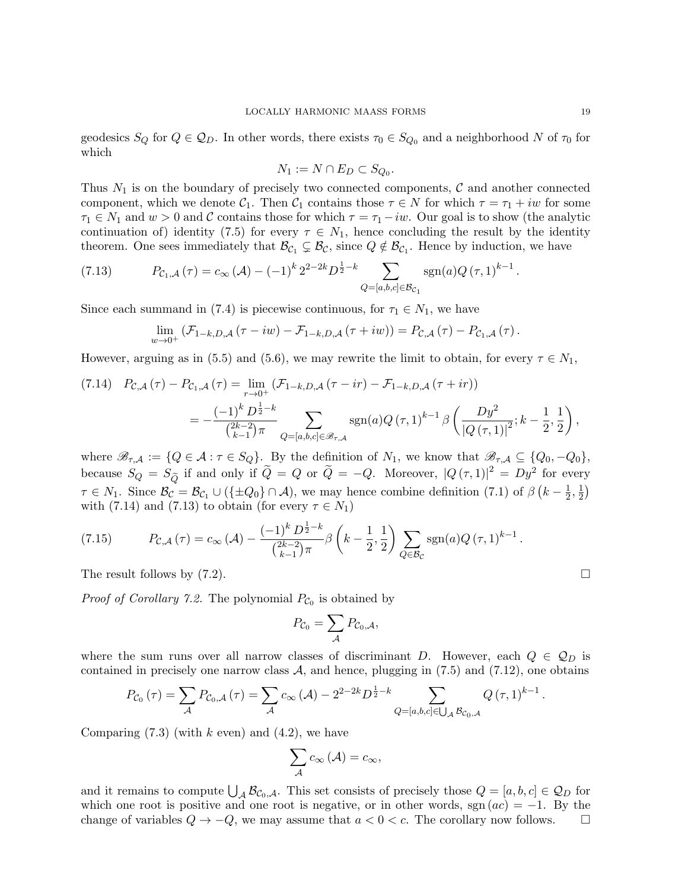geodesics  $S_Q$  for  $Q \in \mathcal{Q}_D$ . In other words, there exists  $\tau_0 \in S_{Q_0}$  and a neighborhood N of  $\tau_0$  for which

$$
N_1 := N \cap E_D \subset S_{Q_0}.
$$

Thus  $N_1$  is on the boundary of precisely two connected components,  $\mathcal C$  and another connected component, which we denote  $C_1$ . Then  $C_1$  contains those  $\tau \in N$  for which  $\tau = \tau_1 + iw$  for some  $\tau_1 \in N_1$  and  $w > 0$  and C contains those for which  $\tau = \tau_1 - iw$ . Our goal is to show (the analytic continuation of) identity (7.5) for every  $\tau \in N_1$ , hence concluding the result by the identity theorem. One sees immediately that  $\mathcal{B}_{\mathcal{C}_1} \subsetneq \mathcal{B}_{\mathcal{C}}$ , since  $Q \notin \mathcal{B}_{\mathcal{C}_1}$ . Hence by induction, we have

(7.13) 
$$
P_{\mathcal{C}_1,\mathcal{A}}(\tau) = c_{\infty}(\mathcal{A}) - (-1)^k 2^{2-2k} D^{\frac{1}{2}-k} \sum_{Q=[a,b,c]\in\mathcal{B}_{\mathcal{C}_1}} \text{sgn}(a) Q(\tau,1)^{k-1}.
$$

Since each summand in (7.4) is piecewise continuous, for  $\tau_1 \in N_1$ , we have

$$
\lim_{w\to 0^+} \left( \mathcal{F}_{1-k,D,\mathcal{A}} \left( \tau - iw \right) - \mathcal{F}_{1-k,D,\mathcal{A}} \left( \tau + iw \right) \right) = P_{\mathcal{C},\mathcal{A}} \left( \tau \right) - P_{\mathcal{C}_1,\mathcal{A}} \left( \tau \right).
$$

However, arguing as in (5.5) and (5.6), we may rewrite the limit to obtain, for every  $\tau \in N_1$ ,

$$
(7.14) \quad P_{\mathcal{C},\mathcal{A}}(\tau) - P_{\mathcal{C}_1,\mathcal{A}}(\tau) = \lim_{r \to 0^+} (\mathcal{F}_{1-k,D,\mathcal{A}}(\tau - ir) - \mathcal{F}_{1-k,D,\mathcal{A}}(\tau + ir))
$$
  
= 
$$
-\frac{(-1)^k D^{\frac{1}{2}-k}}{\binom{2k-2}{k-1}\pi} \sum_{Q=[a,b,c] \in \mathcal{B}_{\tau,\mathcal{A}}} \text{sgn}(a) Q(\tau,1)^{k-1} \beta \left(\frac{Dy^2}{|Q(\tau,1)|^2}; k-\frac{1}{2},\frac{1}{2}\right),
$$

where  $\mathscr{B}_{\tau,A} := \{Q \in \mathcal{A} : \tau \in S_Q\}$ . By the definition of  $N_1$ , we know that  $\mathscr{B}_{\tau,A} \subseteq \{Q_0, -Q_0\}$ , because  $S_Q = S_{\widetilde{Q}}$  if and only if  $\widetilde{Q} = Q$  or  $\widetilde{Q} = -Q$ . Moreover,  $|Q(\tau, 1)|^2 = Dy^2$  for every  $\tau \in N_1$ . Since  $\mathcal{B}_{\mathcal{C}} = \mathcal{B}_{\mathcal{C}_1} \cup (\{\pm Q_0\} \cap \mathcal{A})$ , we may hence combine definition (7.1) of  $\beta \left(k - \frac{1}{2}\right)$  $\frac{1}{2}, \frac{1}{2}$  $\frac{1}{2}$ with (7.14) and (7.13) to obtain (for every  $\tau \in N_1$ )

(7.15) 
$$
P_{\mathcal{C},\mathcal{A}}(\tau) = c_{\infty}(\mathcal{A}) - \frac{(-1)^k D^{\frac{1}{2}-k}}{\binom{2k-2}{k-1}\pi} \beta \left( k - \frac{1}{2}, \frac{1}{2} \right) \sum_{Q \in \mathcal{B}_{\mathcal{C}}} \text{sgn}(a) Q(\tau,1)^{k-1}.
$$

The result follows by  $(7.2)$ .

*Proof of Corollary 7.2.* The polynomial  $P_{\mathcal{C}_0}$  is obtained by

$$
P_{\mathcal{C}_0} = \sum_{\mathcal{A}} P_{\mathcal{C}_0, \mathcal{A}},
$$

where the sum runs over all narrow classes of discriminant D. However, each  $Q \in \mathcal{Q}_D$  is contained in precisely one narrow class  $A$ , and hence, plugging in (7.5) and (7.12), one obtains

$$
P_{\mathcal{C}_0}(\tau) = \sum_{\mathcal{A}} P_{\mathcal{C}_0, \mathcal{A}}(\tau) = \sum_{\mathcal{A}} c_{\infty}(\mathcal{A}) - 2^{2-2k} D^{\frac{1}{2} - k} \sum_{Q = [a, b, c] \in \bigcup_{\mathcal{A}} \mathcal{B}_{\mathcal{C}_0, \mathcal{A}}} Q(\tau, 1)^{k-1}.
$$

Comparing  $(7.3)$  (with k even) and  $(4.2)$ , we have

$$
\sum_{\mathcal{A}} c_{\infty}(\mathcal{A}) = c_{\infty},
$$

and it remains to compute  $\bigcup_{\mathcal{A}} \mathcal{B}_{\mathcal{C}_0,\mathcal{A}}$ . This set consists of precisely those  $Q = [a, b, c] \in \mathcal{Q}_D$  for which one root is positive and one root is negative, or in other words, sgn  $(ac) = -1$ . By the change of variables  $Q \to -Q$ , we may assume that  $a < 0 < c$ . The corollary now follows.  $\square$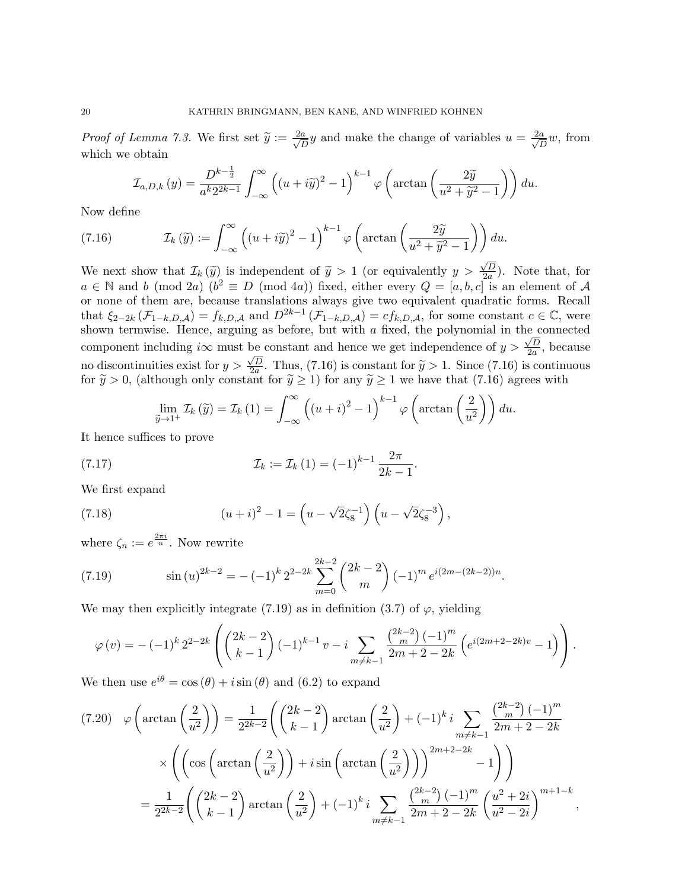*Proof of Lemma 7.3.* We first set  $\widetilde{y} := \frac{2a}{\sqrt{L}}$  $\frac{a}{D}y$  and make the change of variables  $u = \frac{2a}{\sqrt{L}}$  $\frac{a}{D}w$ , from which we obtain

$$
\mathcal{I}_{a,D,k}(y) = \frac{D^{k-\frac{1}{2}}}{a^k 2^{2k-1}} \int_{-\infty}^{\infty} \left( (u + i\widetilde{y})^2 - 1 \right)^{k-1} \varphi \left( \arctan\left( \frac{2\widetilde{y}}{u^2 + \widetilde{y}^2 - 1} \right) \right) du.
$$

Now define

(7.16) 
$$
\mathcal{I}_k(\widetilde{y}) := \int_{-\infty}^{\infty} \left( (u + i\widetilde{y})^2 - 1 \right)^{k-1} \varphi \left( \arctan \left( \frac{2\widetilde{y}}{u^2 + \widetilde{y}^2 - 1} \right) \right) du.
$$

We next show that  $\mathcal{I}_k(\tilde{y})$  is independent of  $\tilde{y} > 1$  (or equivalently  $y >$ √ D  $\frac{\sqrt{D}}{2a}$ ). Note that, for  $a \in \mathbb{N}$  and b (mod 2a)  $(b^2 \equiv D \pmod{4a})$  fixed, either every  $Q = [a, b, c]$  is an element of A or none of them are, because translations always give two equivalent quadratic forms. Recall that  $\xi_{2-2k}(\mathcal{F}_{1-k,D,\mathcal{A}}) = f_{k,D,\mathcal{A}}$  and  $D^{2k-1}(\mathcal{F}_{1-k,D,\mathcal{A}}) = cf_{k,D,\mathcal{A}}$ , for some constant  $c \in \mathbb{C}$ , were shown termwise. Hence, arguing as before, but with a fixed, the polynomial in the connected component including i $\infty$  must be constant and hence we get independence of  $y > \frac{\sqrt{D}}{2a}$ be constant and hence we get independence of  $y > \frac{\sqrt{D}}{2a}$ , because no discontinuities exist for  $y > \frac{\sqrt{D}}{2a}$  $\frac{\sqrt{2a}}{2a}$ . Thus, (7.16) is constant for  $\tilde{y} > 1$ . Since (7.16) is continuous using the  $\tilde{y} > 1$  for any  $\tilde{y} > 1$  we have that (7.16) across with for  $\tilde{y} > 0$ , (although only constant for  $\tilde{y} \ge 1$ ) for any  $\tilde{y} \ge 1$  we have that (7.16) agrees with

$$
\lim_{\widetilde{y}\to 1^{+}}\mathcal{I}_{k}(\widetilde{y})=\mathcal{I}_{k}(1)=\int_{-\infty}^{\infty}\left((u+i)^{2}-1\right)^{k-1}\varphi\left(\arctan\left(\frac{2}{u^{2}}\right)\right)du.
$$

It hence suffices to prove

(7.17) 
$$
\mathcal{I}_k := \mathcal{I}_k(1) = (-1)^{k-1} \frac{2\pi}{2k-1}.
$$

We first expand

(7.18) 
$$
(u+i)^2 - 1 = \left(u - \sqrt{2}\zeta_8^{-1}\right)\left(u - \sqrt{2}\zeta_8^{-3}\right),
$$

where  $\zeta_n := e^{\frac{2\pi i}{n}}$ . Now rewrite

(7.19) 
$$
\sin(u)^{2k-2} = -(-1)^k 2^{2-2k} \sum_{m=0}^{2k-2} {2k-2 \choose m} (-1)^m e^{i(2m-(2k-2))u}.
$$

We may then explicitly integrate (7.19) as in definition (3.7) of  $\varphi$ , yielding

$$
\varphi(v) = -(-1)^k 2^{2-2k} \left( \binom{2k-2}{k-1} (-1)^{k-1} v - i \sum_{m \neq k-1} \frac{\binom{2k-2}{m} (-1)^m}{2m+2-2k} \left( e^{i(2m+2-2k)v} - 1 \right) \right).
$$

We then use  $e^{i\theta} = \cos(\theta) + i\sin(\theta)$  and (6.2) to expand

$$
(7.20) \quad \varphi\left(\arctan\left(\frac{2}{u^2}\right)\right) = \frac{1}{2^{2k-2}} \left( \binom{2k-2}{k-1} \arctan\left(\frac{2}{u^2}\right) + (-1)^k i \sum_{m \neq k-1} \frac{\binom{2k-2}{m} (-1)^m}{2m+2-2k} \right)
$$

$$
\times \left( \left( \cos\left(\arctan\left(\frac{2}{u^2}\right)\right) + i \sin\left(\arctan\left(\frac{2}{u^2}\right)\right) \right)^{2m+2-2k} - 1 \right) \right)
$$

$$
= \frac{1}{2^{2k-2}} \left( \binom{2k-2}{k-1} \arctan\left(\frac{2}{u^2}\right) + (-1)^k i \sum_{m \neq k-1} \frac{\binom{2k-2}{m} (-1)^m}{2m+2-2k} \left( \frac{u^2+2i}{u^2-2i} \right)^{m+1-k} \right)
$$

,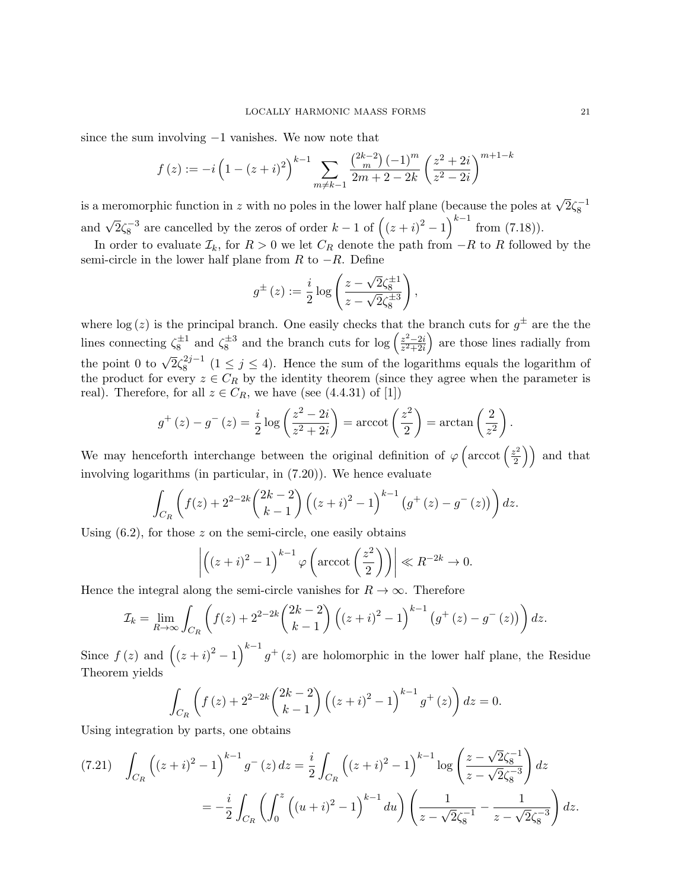since the sum involving −1 vanishes. We now note that

$$
f(z) := -i\left(1 - (z+i)^2\right)^{k-1} \sum_{m \neq k-1} \frac{\binom{2k-2}{m} (-1)^m}{2m+2-2k} \left(\frac{z^2+2i}{z^2-2i}\right)^{m+1-k}
$$

is a meromorphic function in z with no poles in the lower half plane (because the poles at  $\sqrt{2}\zeta_8^{-1}$ and  $\sqrt{2}\zeta_8^{-3}$  are cancelled by the zeros of order  $k-1$  of  $((z+i)^2-1)^{k-1}$  from (7.18)).

In order to evaluate  $\mathcal{I}_k$ , for  $R > 0$  we let  $C_R$  denote the path from  $-R$  to R followed by the semi-circle in the lower half plane from  $R$  to  $-R$ . Define

$$
g^{\pm}(z) := \frac{i}{2} \log \left( \frac{z - \sqrt{2} \zeta_8^{\pm 1}}{z - \sqrt{2} \zeta_8^{\pm 3}} \right),
$$

where  $\log(z)$  is the principal branch. One easily checks that the branch cuts for  $g^{\pm}$  are the the lines connecting  $\zeta_8^{\pm 1}$  and  $\zeta_8^{\pm 3}$  and the branch cuts for  $\log \left( \frac{z^2 - 2i}{z^2 + 2i} \right)$  $\frac{z^2-2i}{z^2+2i}$  are those lines radially from the point 0 to  $\sqrt{2}\zeta_8^{2j-1}$  $8^{2j-1}$   $(1 \leq j \leq 4)$ . Hence the sum of the logarithms equals the logarithm of the product for every  $z \in C_R$  by the identity theorem (since they agree when the parameter is real). Therefore, for all  $z \in C_R$ , we have (see (4.4.31) of [1])

$$
g^+(z) - g^-(z) = \frac{i}{2} \log \left( \frac{z^2 - 2i}{z^2 + 2i} \right) = \operatorname{arccot} \left( \frac{z^2}{2} \right) = \operatorname{arctan} \left( \frac{2}{z^2} \right).
$$

We may henceforth interchange between the original definition of  $\varphi$  (arccot  $\left(\frac{z^2}{2}\right)$  $\binom{z^2}{2}$  and that involving logarithms (in particular, in (7.20)). We hence evaluate

$$
\int_{C_R} \left( f(z) + 2^{2-2k} \binom{2k-2}{k-1} \left( (z+i)^2 - 1 \right)^{k-1} \left( g^+(z) - g^-(z) \right) \right) dz.
$$

Using  $(6.2)$ , for those z on the semi-circle, one easily obtains

$$
\left| \left( (z+i)^2 - 1 \right)^{k-1} \varphi \left( \operatorname{arccot} \left( \frac{z^2}{2} \right) \right) \right| \ll R^{-2k} \to 0.
$$

Hence the integral along the semi-circle vanishes for  $R \to \infty$ . Therefore

$$
\mathcal{I}_k = \lim_{R \to \infty} \int_{C_R} \left( f(z) + 2^{2-2k} \binom{2k-2}{k-1} \left( (z+i)^2 - 1 \right)^{k-1} \left( g^+(z) - g^-(z) \right) \right) dz.
$$

Since  $f(z)$  and  $((z+i)^2-1)^{k-1}g^+(z)$  are holomorphic in the lower half plane, the Residue Theorem yields

$$
\int_{C_R} \left( f(z) + 2^{2-2k} \binom{2k-2}{k-1} \left( (z+i)^2 - 1 \right)^{k-1} g^+(z) \right) dz = 0.
$$

Using integration by parts, one obtains

$$
(7.21) \quad \int_{C_R} \left( (z+i)^2 - 1 \right)^{k-1} g^{-}(z) \, dz = \frac{i}{2} \int_{C_R} \left( (z+i)^2 - 1 \right)^{k-1} \log \left( \frac{z - \sqrt{2} \zeta_8^{-1}}{z - \sqrt{2} \zeta_8^{-3}} \right) dz
$$
\n
$$
= -\frac{i}{2} \int_{C_R} \left( \int_0^z \left( (u+i)^2 - 1 \right)^{k-1} du \right) \left( \frac{1}{z - \sqrt{2} \zeta_8^{-1}} - \frac{1}{z - \sqrt{2} \zeta_8^{-3}} \right) dz.
$$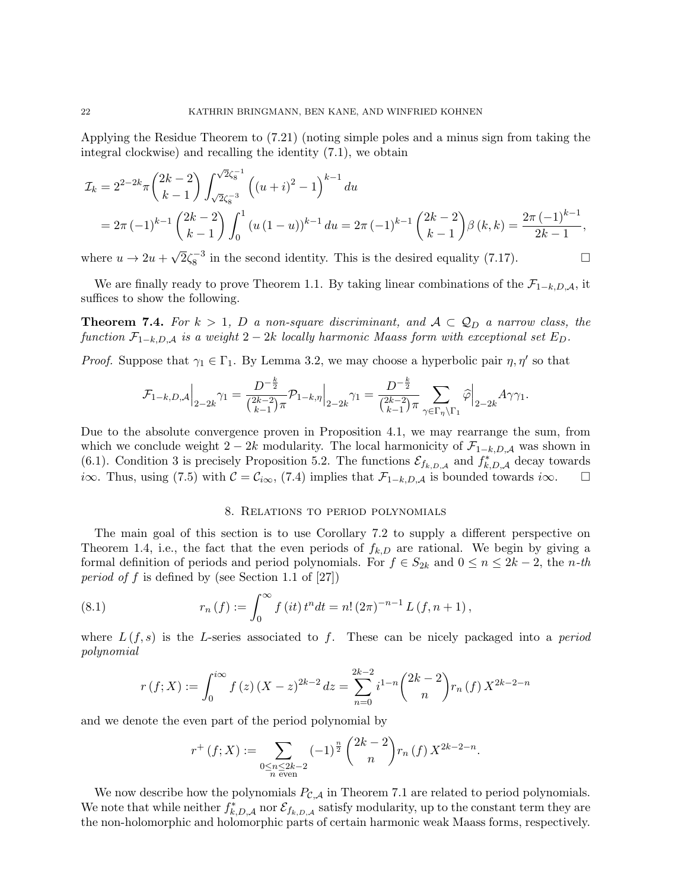Applying the Residue Theorem to (7.21) (noting simple poles and a minus sign from taking the integral clockwise) and recalling the identity (7.1), we obtain

$$
\mathcal{I}_k = 2^{2-2k} \pi \binom{2k-2}{k-1} \int_{\sqrt{2}\zeta_8^{-3}}^{\sqrt{2}\zeta_8^{-1}} \left( (u+i)^2 - 1 \right)^{k-1} du
$$
  
=  $2\pi (-1)^{k-1} \binom{2k-2}{k-1} \int_0^1 (u(1-u))^{k-1} du = 2\pi (-1)^{k-1} \binom{2k-2}{k-1} \beta(k,k) = \frac{2\pi (-1)^{k-1}}{2k-1},$ 

where  $u \rightarrow 2u +$  $\overline{2}\zeta_8^{-3}$  in the second identity. This is the desired equality (7.17).

We are finally ready to prove Theorem 1.1. By taking linear combinations of the  $\mathcal{F}_{1-k,D,A}$ , it suffices to show the following.

**Theorem 7.4.** For  $k > 1$ , D a non-square discriminant, and  $A \subset \mathcal{Q}_D$  a narrow class, the function  $\mathcal{F}_{1-k,D,A}$  is a weight  $2-2k$  locally harmonic Maass form with exceptional set  $E_D$ .

*Proof.* Suppose that  $\gamma_1 \in \Gamma_1$ . By Lemma 3.2, we may choose a hyperbolic pair  $\eta, \eta'$  so that

$$
\mathcal{F}_{1-k,D,\mathcal{A}} \Big|_{2-2k} \gamma_1 = \frac{D^{-\frac{k}{2}}}{\binom{2k-2}{k-1} \pi} \mathcal{P}_{1-k,\eta} \Big|_{2-2k} \gamma_1 = \frac{D^{-\frac{k}{2}}}{\binom{2k-2}{k-1} \pi} \sum_{\gamma \in \Gamma_{\eta} \backslash \Gamma_1} \widehat{\varphi} \Big|_{2-2k} A \gamma \gamma_1.
$$

Due to the absolute convergence proven in Proposition 4.1, we may rearrange the sum, from which we conclude weight 2 − 2k modularity. The local harmonicity of  $\mathcal{F}_{1-k,D,A}$  was shown in (6.1). Condition 3 is precisely Proposition 5.2. The functions  $\mathcal{E}_{f_{k,D,A}}$  and  $f_{k,D,A}^*$  decay towards *i*∞. Thus, using (7.5) with  $C = C_{i\infty}$ , (7.4) implies that  $\mathcal{F}_{1-k,D,A}$  is bounded towards *i*∞.  $\Box$ 

## 8. Relations to period polynomials

The main goal of this section is to use Corollary 7.2 to supply a different perspective on Theorem 1.4, i.e., the fact that the even periods of  $f_{k,D}$  are rational. We begin by giving a formal definition of periods and period polynomials. For  $f \in S_{2k}$  and  $0 \leq n \leq 2k-2$ , the *n*-th period of f is defined by (see Section 1.1 of  $[27]$ )

(8.1) 
$$
r_n(f) := \int_0^\infty f(it) t^n dt = n! (2\pi)^{-n-1} L(f, n+1),
$$

where  $L(f, s)$  is the L-series associated to f. These can be nicely packaged into a *period* polynomial

$$
r(f;X) := \int_0^{i\infty} f(z) (X - z)^{2k-2} dz = \sum_{n=0}^{2k-2} i^{1-n} {2k-2 \choose n} r_n(f) X^{2k-2-n}
$$

and we denote the even part of the period polynomial by

$$
r^{+}\left(f;X\right) := \sum_{\substack{0 \le n \le 2k-2 \\ n \text{ even}}} (-1)^{\frac{n}{2}} \binom{2k-2}{n} r_n\left(f\right) X^{2k-2-n}.
$$

We now describe how the polynomials  $P_{\mathcal{C},\mathcal{A}}$  in Theorem 7.1 are related to period polynomials. We note that while neither  $f_{k,D,A}^*$  nor  $\mathcal{E}_{f_{k,D,A}}$  satisfy modularity, up to the constant term they are the non-holomorphic and holomorphic parts of certain harmonic weak Maass forms, respectively.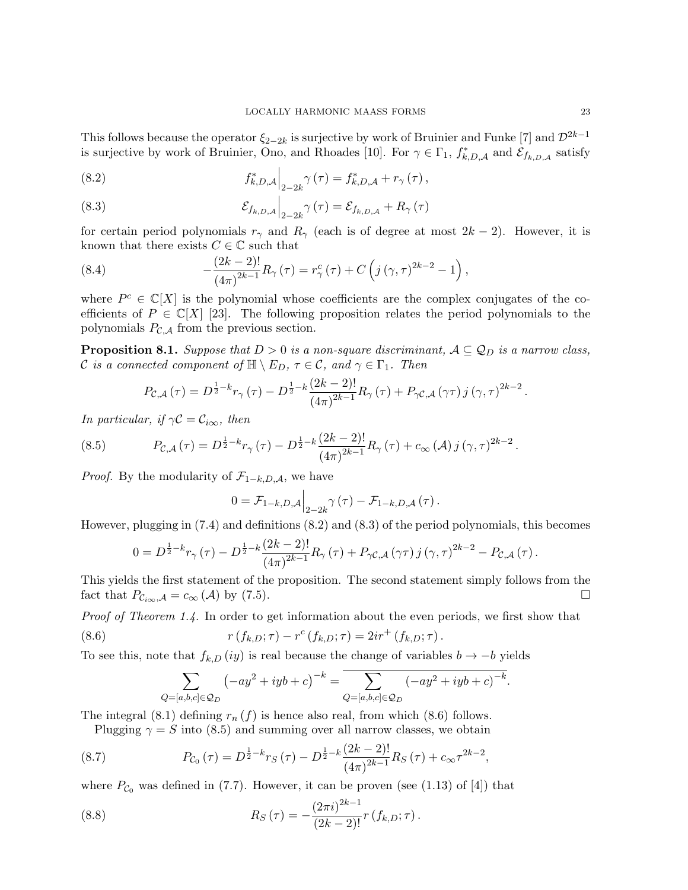This follows because the operator  $\xi_{2-2k}$  is surjective by work of Bruinier and Funke [7] and  $\mathcal{D}^{2k-1}$ is surjective by work of Bruinier, Ono, and Rhoades [10]. For  $\gamma \in \Gamma_1$ ,  $f_{k,D,A}^*$  and  $\mathcal{E}_{f_{k,D,A}}$  satisfy

(8.2) 
$$
f_{k,D,A}^* \Big|_{2-2k} \gamma(\tau) = f_{k,D,A}^* + r_\gamma(\tau),
$$

(8.3) 
$$
\mathcal{E}_{f_{k,D,A}}\Big|_{2-2k}\gamma(\tau)=\mathcal{E}_{f_{k,D,A}}+R_{\gamma}(\tau)
$$

for certain period polynomials  $r_{\gamma}$  and  $R_{\gamma}$  (each is of degree at most  $2k-2$ ). However, it is known that there exists  $C\in\mathbb{C}$  such that

(8.4) 
$$
-\frac{(2k-2)!}{(4\pi)^{2k-1}}R_{\gamma}(\tau) = r_{\gamma}^{c}(\tau) + C\left(j(\gamma,\tau)^{2k-2} - 1\right),
$$

where  $P^c \in \mathbb{C}[X]$  is the polynomial whose coefficients are the complex conjugates of the coefficients of  $P \in \mathbb{C}[X]$  [23]. The following proposition relates the period polynomials to the polynomials  $P_{\mathcal{C},\mathcal{A}}$  from the previous section.

**Proposition 8.1.** Suppose that  $D > 0$  is a non-square discriminant,  $A \subseteq Q_D$  is a narrow class, C is a connected component of  $\mathbb{H} \setminus E_D$ ,  $\tau \in \mathcal{C}$ , and  $\gamma \in \Gamma_1$ . Then

$$
P_{\mathcal{C},\mathcal{A}}(\tau) = D^{\frac{1}{2} - k} r_{\gamma}(\tau) - D^{\frac{1}{2} - k} \frac{(2k - 2)!}{(4\pi)^{2k - 1}} R_{\gamma}(\tau) + P_{\gamma \mathcal{C},\mathcal{A}}(\gamma \tau) j(\gamma, \tau)^{2k - 2}
$$

In particular, if  $\gamma \mathcal{C} = \mathcal{C}_{i\infty}$ , then

(8.5) 
$$
P_{\mathcal{C},\mathcal{A}}(\tau) = D^{\frac{1}{2} - k} r_{\gamma}(\tau) - D^{\frac{1}{2} - k} \frac{(2k - 2)!}{(4\pi)^{2k - 1}} R_{\gamma}(\tau) + c_{\infty}(\mathcal{A}) j(\gamma,\tau)^{2k - 2}.
$$

*Proof.* By the modularity of  $\mathcal{F}_{1-k,D,A}$ , we have

$$
0 = \mathcal{F}_{1-k,D,A}\Big|_{2-2k} \gamma(\tau) - \mathcal{F}_{1-k,D,A}(\tau).
$$

However, plugging in (7.4) and definitions (8.2) and (8.3) of the period polynomials, this becomes

$$
0=D^{\frac{1}{2}-k}r_{\gamma}\left(\tau\right)-D^{\frac{1}{2}-k}\frac{\left(2k-2\right)!}{\left(4\pi\right)^{2k-1}}R_{\gamma}\left(\tau\right)+P_{\gamma\mathcal{C},\mathcal{A}}\left(\gamma\tau\right)j\left(\gamma,\tau\right)^{2k-2}-P_{\mathcal{C},\mathcal{A}}\left(\tau\right).
$$

This yields the first statement of the proposition. The second statement simply follows from the fact that  $P_{\mathcal{C}_{i\infty},\mathcal{A}} = c_{\infty}(\mathcal{A})$  by (7.5).

Proof of Theorem 1.4. In order to get information about the even periods, we first show that

(8.6) 
$$
r(f_{k,D};\tau) - r^{c}(f_{k,D};\tau) = 2ir^{+}(f_{k,D};\tau).
$$

To see this, note that  $f_{k,D}(iy)$  is real because the change of variables  $b \to -b$  yields

$$
\sum_{Q=[a,b,c]\in\mathcal{Q}_D} (-ay^2 + iyb + c)^{-k} = \sum_{Q=[a,b,c]\in\mathcal{Q}_D} (-ay^2 + iyb + c)^{-k}.
$$

The integral  $(8.1)$  defining  $r_n(f)$  is hence also real, from which  $(8.6)$  follows.

Plugging  $\gamma = S$  into (8.5) and summing over all narrow classes, we obtain

(8.7) 
$$
P_{\mathcal{C}_0}(\tau) = D^{\frac{1}{2} - k} r_S(\tau) - D^{\frac{1}{2} - k} \frac{(2k - 2)!}{(4\pi)^{2k - 1}} R_S(\tau) + c_{\infty} \tau^{2k - 2},
$$

where  $P_{\mathcal{C}_0}$  was defined in (7.7). However, it can be proven (see (1.13) of [4]) that

(8.8) 
$$
R_S(\tau) = -\frac{(2\pi i)^{2k-1}}{(2k-2)!} r(f_{k,D}; \tau).
$$

.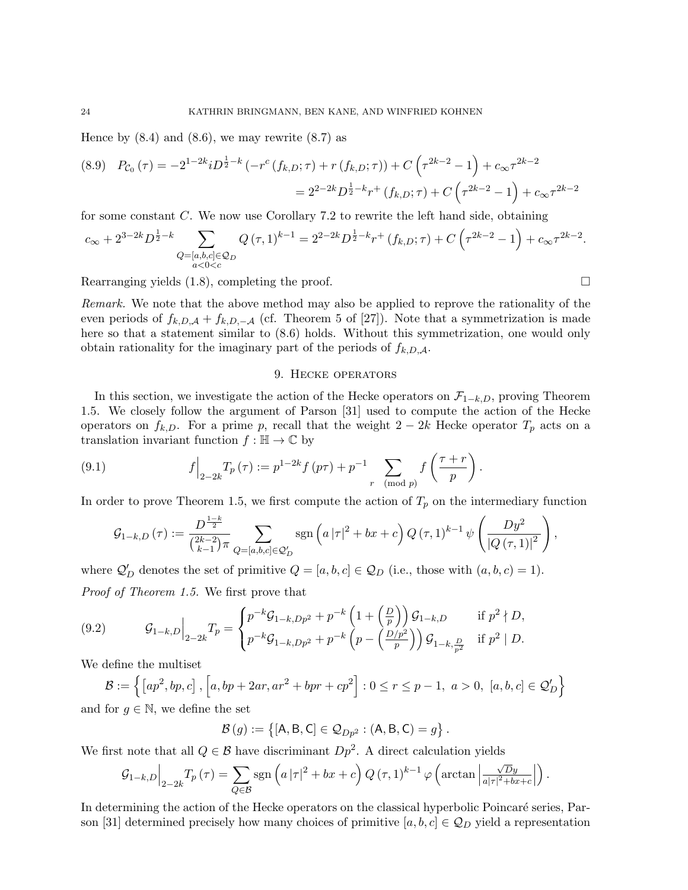Hence by  $(8.4)$  and  $(8.6)$ , we may rewrite  $(8.7)$  as

$$
(8.9) \quad P_{\mathcal{C}_0}(\tau) = -2^{1-2k} i D^{\frac{1}{2}-k} \left( -r^c \left( f_{k,D}; \tau \right) + r \left( f_{k,D}; \tau \right) \right) + C \left( \tau^{2k-2} - 1 \right) + c_{\infty} \tau^{2k-2}
$$

$$
= 2^{2-2k} D^{\frac{1}{2}-k} r^+ \left( f_{k,D}; \tau \right) + C \left( \tau^{2k-2} - 1 \right) + c_{\infty} \tau^{2k-2}
$$

for some constant C. We now use Corollary 7.2 to rewrite the left hand side, obtaining

$$
c_{\infty} + 2^{3-2k} D^{\frac{1}{2}-k} \sum_{\substack{Q = [a,b,c] \in \mathcal{Q}_D \\ a < 0 < c}} Q(\tau,1)^{k-1} = 2^{2-2k} D^{\frac{1}{2}-k} r^+ (f_{k,D};\tau) + C \left( \tau^{2k-2} - 1 \right) + c_{\infty} \tau^{2k-2}.
$$

Rearranging yields  $(1.8)$ , completing the proof.

Remark. We note that the above method may also be applied to reprove the rationality of the even periods of  $f_{k,D,A} + f_{k,D,-A}$  (cf. Theorem 5 of [27]). Note that a symmetrization is made here so that a statement similar to  $(8.6)$  holds. Without this symmetrization, one would only obtain rationality for the imaginary part of the periods of  $f_{k,D,A}$ .

#### 9. Hecke operators

In this section, we investigate the action of the Hecke operators on  $\mathcal{F}_{1-k,D}$ , proving Theorem 1.5. We closely follow the argument of Parson [31] used to compute the action of the Hecke operators on  $f_{k,D}$ . For a prime p, recall that the weight 2 – 2k Hecke operator  $T_p$  acts on a translation invariant function  $f : \mathbb{H} \to \mathbb{C}$  by

(9.1) 
$$
f\Big|_{2-2k}T_p(\tau) := p^{1-2k}f(p\tau) + p^{-1}\sum_{r \pmod{p}}f\left(\frac{\tau+r}{p}\right).
$$

In order to prove Theorem 1.5, we first compute the action of  $T_p$  on the intermediary function

$$
G_{1-k,D}(\tau) := \frac{D^{\frac{1-k}{2}}}{\binom{2k-2}{k-1}\pi} \sum_{Q=[a,b,c]\in \mathcal{Q}'_D} \text{sgn}\left(a\,|\tau|^2 + bx + c\right) Q(\tau,1)^{k-1} \psi\left(\frac{Dy^2}{|Q(\tau,1)|^2}\right),
$$

where  $\mathcal{Q}'_D$  denotes the set of primitive  $Q = [a, b, c] \in \mathcal{Q}_D$  (i.e., those with  $(a, b, c) = 1$ ). Proof of Theorem 1.5. We first prove that

(9.2) 
$$
\mathcal{G}_{1-k,D}\Big|_{2-2k}T_p = \begin{cases} p^{-k}\mathcal{G}_{1-k,Dp^2} + p^{-k}\left(1+\left(\frac{D}{p}\right)\right)\mathcal{G}_{1-k,D} & \text{if } p^2 \nmid D, \\ p^{-k}\mathcal{G}_{1-k,Dp^2} + p^{-k}\left(p-\left(\frac{D/p^2}{p}\right)\right)\mathcal{G}_{1-k,\frac{D}{p^2}} & \text{if } p^2 \mid D. \end{cases}
$$

We define the multiset

$$
\mathcal{B} := \left\{ \left[ ap^2, bp, c \right], \left[ a, bp + 2ar, ar^2 + bpr + cp^2 \right] : 0 \le r \le p - 1, \ a > 0, \ [a, b, c] \in \mathcal{Q}'_D \right\}
$$

and for  $g \in \mathbb{N}$ , we define the set

$$
\mathcal{B}(g) := \{ [\mathsf{A}, \mathsf{B}, \mathsf{C}] \in \mathcal{Q}_{Dp^2} : (\mathsf{A}, \mathsf{B}, \mathsf{C}) = g \}.
$$

We first note that all  $Q \in \mathcal{B}$  have discriminant  $Dp^2$ . A direct calculation yields

$$
\mathcal{G}_{1-k,D}\Big|_{2-2k}T_p(\tau)=\sum_{Q\in\mathcal{B}}\mathrm{sgn}\left(a\,|\tau|^2+bx+c\right)Q\left(\tau,1\right)^{k-1}\varphi\left(\arctan\left|\frac{\sqrt{D}y}{a|\tau|^2+bx+c}\right|\right).
$$

In determining the action of the Hecke operators on the classical hyperbolic Poincaré series, Parson [31] determined precisely how many choices of primitive  $[a, b, c] \in \mathcal{Q}_D$  yield a representation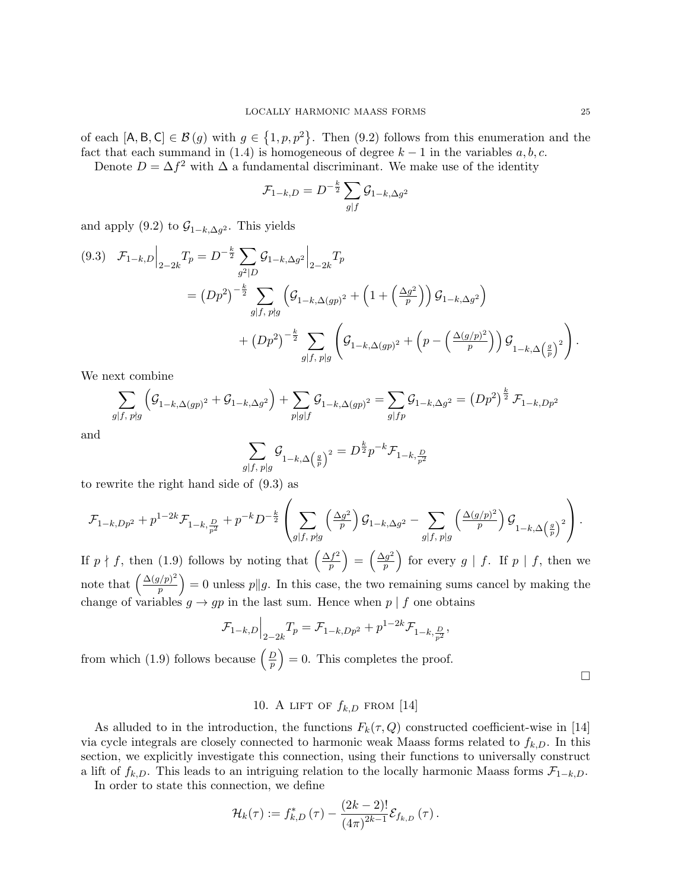of each  $[A, B, C] \in \mathcal{B}(g)$  with  $g \in \{1, p, p^2\}$ . Then  $(9.2)$  follows from this enumeration and the fact that each summand in (1.4) is homogeneous of degree  $k - 1$  in the variables  $a, b, c$ .

Denote  $D = \Delta f^2$  with  $\Delta$  a fundamental discriminant. We make use of the identity

$$
\mathcal{F}_{1-k,D} = D^{-\frac{k}{2}} \sum_{g \mid f} \mathcal{G}_{1-k,\Delta g^2}
$$

and apply (9.2) to  $\mathcal{G}_{1-k,\Delta g^2}$ . This yields

$$
(9.3) \quad \mathcal{F}_{1-k,D}\Big|_{2-2k} T_p = D^{-\frac{k}{2}} \sum_{g^2|D} \mathcal{G}_{1-k,\Delta g^2}\Big|_{2-2k} T_p
$$
  
=  $(Dp^2)^{-\frac{k}{2}} \sum_{g|f, p\nmid g} \left(\mathcal{G}_{1-k,\Delta(gp)^2} + \left(1 + \left(\frac{\Delta g^2}{p}\right)\right) \mathcal{G}_{1-k,\Delta g^2}\right)$   
+  $(Dp^2)^{-\frac{k}{2}} \sum_{g|f, p|g} \left(\mathcal{G}_{1-k,\Delta(gp)^2} + \left(p - \left(\frac{\Delta(g/p)^2}{p}\right)\right) \mathcal{G}_{1-k,\Delta \left(\frac{g}{p}\right)^2}\right).$ 

We next combine

$$
\sum_{g|f, p\nmid g} \left( \mathcal{G}_{1-k,\Delta(gp)^2} + \mathcal{G}_{1-k,\Delta g^2} \right) + \sum_{p|g|f} \mathcal{G}_{1-k,\Delta(gp)^2} = \sum_{g|fp} \mathcal{G}_{1-k,\Delta g^2} = \left( Dp^2 \right)^{\frac{k}{2}} \mathcal{F}_{1-k,Dp^2}
$$

and

$$
\sum_{g|f, p|g} \mathcal{G}_{1-k,\Delta\left(\frac{g}{p}\right)^2} = D^{\frac{k}{2}} p^{-k} \mathcal{F}_{1-k,\frac{D}{p^2}}
$$

to rewrite the right hand side of (9.3) as

$$
\mathcal{F}_{1-k, Dp^2} + p^{1-2k} \mathcal{F}_{1-k, \frac{D}{p^2}} + p^{-k} D^{-\frac{k}{2}} \left( \sum_{g | f, p \nmid g} \left( \frac{\Delta g^2}{p} \right) \mathcal{G}_{1-k, \Delta g^2} - \sum_{g | f, p \mid g} \left( \frac{\Delta (g/p)^2}{p} \right) \mathcal{G}_{1-k, \Delta \left( \frac{g}{p} \right)^2} \right).
$$

If  $p \nmid f$ , then (1.9) follows by noting that  $\left(\frac{\Delta f^2}{n}\right)$  $\left(\frac{f^2}{p}\right) = \left(\frac{\Delta g^2}{p}\right)$  $\left(\frac{g^2}{p}\right)$  for every  $g \mid f$ . If  $p \mid f$ , then we note that  $\left(\frac{\Delta(g/p)^2}{n}\right)$  $\binom{p}{p}^2 = 0$  unless  $p||g$ . In this case, the two remaining sums cancel by making the change of variables  $g \to gp$  in the last sum. Hence when  $p \mid f$  one obtains

$$
\mathcal{F}_{1-k,D}\Big|_{2-2k}T_p = \mathcal{F}_{1-k,Dp^2} + p^{1-2k}\mathcal{F}_{1-k,\frac{D}{p^2}},
$$

from which (1.9) follows because  $\left(\frac{D}{n}\right)$  $\left(\frac{D}{p}\right) = 0$ . This completes the proof.

 $\Box$ 

# 10. A LIFT OF  $f_{k,D}$  from [14]

As alluded to in the introduction, the functions  $F_k(\tau, Q)$  constructed coefficient-wise in [14] via cycle integrals are closely connected to harmonic weak Maass forms related to  $f_{k,D}$ . In this section, we explicitly investigate this connection, using their functions to universally construct a lift of  $f_{k,D}$ . This leads to an intriguing relation to the locally harmonic Maass forms  $\mathcal{F}_{1-k,D}$ .

In order to state this connection, we define

$$
\mathcal{H}_{k}(\tau) := f_{k,D}^{*}(\tau) - \frac{(2k-2)!}{(4\pi)^{2k-1}} \mathcal{E}_{f_{k,D}}(\tau).
$$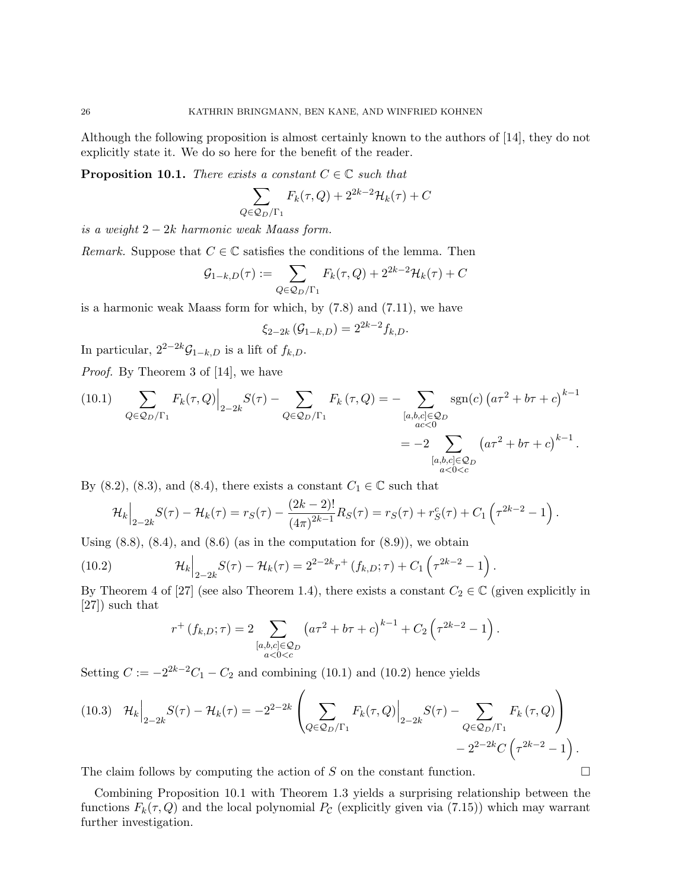Although the following proposition is almost certainly known to the authors of [14], they do not explicitly state it. We do so here for the benefit of the reader.

**Proposition 10.1.** There exists a constant  $C \in \mathbb{C}$  such that

$$
\sum_{Q \in \mathcal{Q}_D/\Gamma_1} F_k(\tau, Q) + 2^{2k-2} \mathcal{H}_k(\tau) + C
$$

is a weight  $2 - 2k$  harmonic weak Maass form.

Remark. Suppose that  $C \in \mathbb{C}$  satisfies the conditions of the lemma. Then

$$
\mathcal{G}_{1-k,D}(\tau) := \sum_{Q \in \mathcal{Q}_D/\Gamma_1} F_k(\tau, Q) + 2^{2k-2} \mathcal{H}_k(\tau) + C
$$

is a harmonic weak Maass form for which, by (7.8) and (7.11), we have

$$
\xi_{2-2k}(\mathcal{G}_{1-k,D})=2^{2k-2}f_{k,D}.
$$

In particular,  $2^{2-2k}\mathcal{G}_{1-k,D}$  is a lift of  $f_{k,D}$ .

Proof. By Theorem 3 of [14], we have

(10.1) 
$$
\sum_{Q \in \mathcal{Q}_D/\Gamma_1} F_k(\tau, Q) \Big|_{2-2k} S(\tau) - \sum_{Q \in \mathcal{Q}_D/\Gamma_1} F_k(\tau, Q) = - \sum_{\substack{[a, b, c] \in \mathcal{Q}_D \\ ac < 0}} \text{sgn}(c) \left( a\tau^2 + b\tau + c \right)^{k-1}
$$

$$
= -2 \sum_{\substack{[a, b, c] \in \mathcal{Q}_D \\ a < 0 < c}} \left( a\tau^2 + b\tau + c \right)^{k-1}.
$$

By (8.2), (8.3), and (8.4), there exists a constant  $C_1\in\mathbb{C}$  such that

$$
\mathcal{H}_k\Big|_{2-2k}S(\tau)-\mathcal{H}_k(\tau)=r_S(\tau)-\frac{(2k-2)!}{(4\pi)^{2k-1}}R_S(\tau)=r_S(\tau)+r_S^c(\tau)+C_1\left(\tau^{2k-2}-1\right).
$$

Using  $(8.8)$ ,  $(8.4)$ , and  $(8.6)$  (as in the computation for  $(8.9)$ ), we obtain

(10.2) 
$$
\mathcal{H}_k\Big|_{2-2k} S(\tau) - \mathcal{H}_k(\tau) = 2^{2-2k} r^+ (f_{k,D}; \tau) + C_1 \left( \tau^{2k-2} - 1 \right).
$$

By Theorem 4 of [27] (see also Theorem 1.4), there exists a constant  $C_2 \in \mathbb{C}$  (given explicitly in [27]) such that

$$
r^+(f_{k,D};\tau) = 2 \sum_{\substack{[a,b,c] \in \mathcal{Q}_D \\ a < 0 < c}} \left( a\tau^2 + b\tau + c \right)^{k-1} + C_2 \left( \tau^{2k-2} - 1 \right).
$$

Setting  $C := -2^{2k-2}C_1 - C_2$  and combining (10.1) and (10.2) hence yields

$$
(10.3) \quad \mathcal{H}_k \Big|_{2-2k} S(\tau) - \mathcal{H}_k(\tau) = -2^{2-2k} \left( \sum_{Q \in \mathcal{Q}_D/\Gamma_1} F_k(\tau, Q) \Big|_{2-2k} S(\tau) - \sum_{Q \in \mathcal{Q}_D/\Gamma_1} F_k(\tau, Q) \right) - 2^{2-2k} C \left( \tau^{2k-2} - 1 \right).
$$

The claim follows by computing the action of S on the constant function.  $\Box$ 

Combining Proposition 10.1 with Theorem 1.3 yields a surprising relationship between the functions  $F_k(\tau, Q)$  and the local polynomial  $P_{\mathcal{C}}$  (explicitly given via (7.15)) which may warrant further investigation.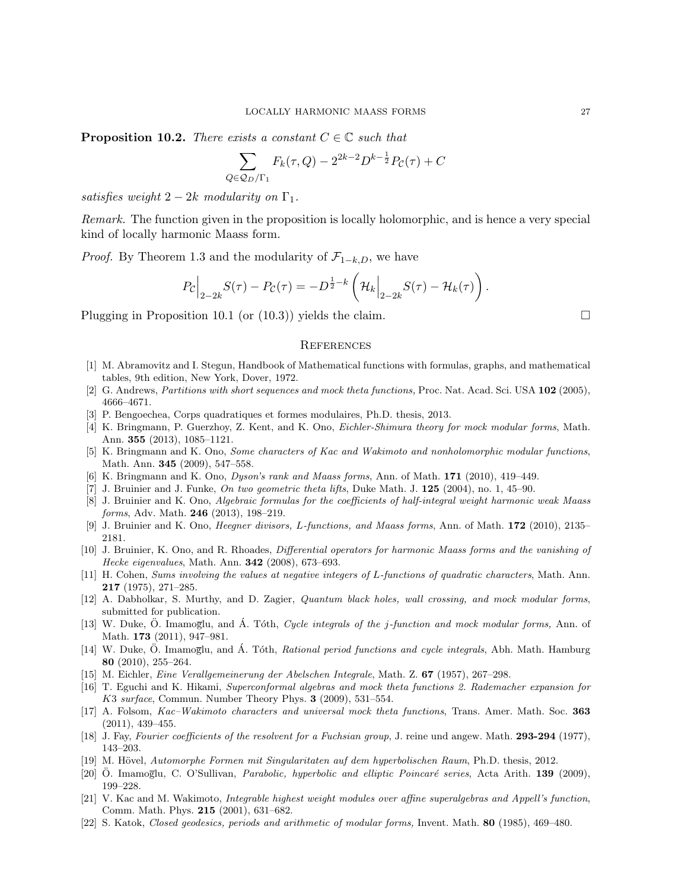**Proposition 10.2.** There exists a constant  $C \in \mathbb{C}$  such that

$$
\sum_{Q \in Q_D/\Gamma_1} F_k(\tau, Q) - 2^{2k-2} D^{k-\frac{1}{2}} P_C(\tau) + C
$$

satisfies weight  $2-2k$  modularity on  $\Gamma_1$ .

Remark. The function given in the proposition is locally holomorphic, and is hence a very special kind of locally harmonic Maass form.

*Proof.* By Theorem 1.3 and the modularity of  $\mathcal{F}_{1-k,D}$ , we have

$$
P_{\mathcal{C}}\Big|_{2-2k}S(\tau)-P_{\mathcal{C}}(\tau)=-D^{\frac{1}{2}-k}\left(\mathcal{H}_k\Big|_{2-2k}S(\tau)-\mathcal{H}_k(\tau)\right).
$$

Plugging in Proposition 10.1 (or  $(10.3)$ ) yields the claim.

#### **REFERENCES**

- [1] M. Abramovitz and I. Stegun, Handbook of Mathematical functions with formulas, graphs, and mathematical tables, 9th edition, New York, Dover, 1972.
- [2] G. Andrews, Partitions with short sequences and mock theta functions, Proc. Nat. Acad. Sci. USA 102 (2005), 4666–4671.
- [3] P. Bengoechea, Corps quadratiques et formes modulaires, Ph.D. thesis, 2013.
- [4] K. Bringmann, P. Guerzhoy, Z. Kent, and K. Ono, Eichler-Shimura theory for mock modular forms, Math. Ann. 355 (2013), 1085–1121.
- [5] K. Bringmann and K. Ono, Some characters of Kac and Wakimoto and nonholomorphic modular functions, Math. Ann. 345 (2009), 547–558.
- [6] K. Bringmann and K. Ono, Dyson's rank and Maass forms, Ann. of Math. 171 (2010), 419–449.
- [7] J. Bruinier and J. Funke, On two geometric theta lifts, Duke Math. J. 125 (2004), no. 1, 45–90.
- [8] J. Bruinier and K. Ono, Algebraic formulas for the coefficients of half-integral weight harmonic weak Maass forms, Adv. Math. 246 (2013), 198–219.
- [9] J. Bruinier and K. Ono, Heegner divisors, L-functions, and Maass forms, Ann. of Math. 172 (2010), 2135– 2181.
- [10] J. Bruinier, K. Ono, and R. Rhoades, Differential operators for harmonic Maass forms and the vanishing of Hecke eigenvalues, Math. Ann. **342** (2008), 673-693.
- [11] H. Cohen, Sums involving the values at negative integers of L-functions of quadratic characters, Math. Ann. 217 (1975), 271–285.
- [12] A. Dabholkar, S. Murthy, and D. Zagier, Quantum black holes, wall crossing, and mock modular forms, submitted for publication.
- [13] W. Duke, Ö. Imamoglu, and Á. Tóth, Cycle integrals of the j-function and mock modular forms, Ann. of Math. **173** (2011), 947-981.
- [14] W. Duke, Ö. Imamoglu, and Á. Tóth, Rational period functions and cycle integrals, Abh. Math. Hamburg 80 (2010), 255–264.
- [15] M. Eichler, Eine Verallgemeinerung der Abelschen Integrale, Math. Z. 67 (1957), 267–298.
- [16] T. Eguchi and K. Hikami, Superconformal algebras and mock theta functions 2. Rademacher expansion for K3 surface, Commun. Number Theory Phys. 3 (2009), 531–554.
- [17] A. Folsom, Kac–Wakimoto characters and universal mock theta functions, Trans. Amer. Math. Soc. 363 (2011), 439–455.
- [18] J. Fay, Fourier coefficients of the resolvent for a Fuchsian group, J. reine und angew. Math. 293-294 (1977), 143–203.
- [19] M. Hövel, Automorphe Formen mit Singularitaten auf dem hyperbolischen Raum, Ph.D. thesis, 2012.
- [20] O. Imamoglu, C. O'Sullivan, Parabolic, hyperbolic and elliptic Poincaré series, Acta Arith. 139 (2009), 199–228.
- [21] V. Kac and M. Wakimoto, Integrable highest weight modules over affine superalgebras and Appell's function, Comm. Math. Phys. 215 (2001), 631–682.
- [22] S. Katok, Closed geodesics, periods and arithmetic of modular forms, Invent. Math. 80 (1985), 469–480.